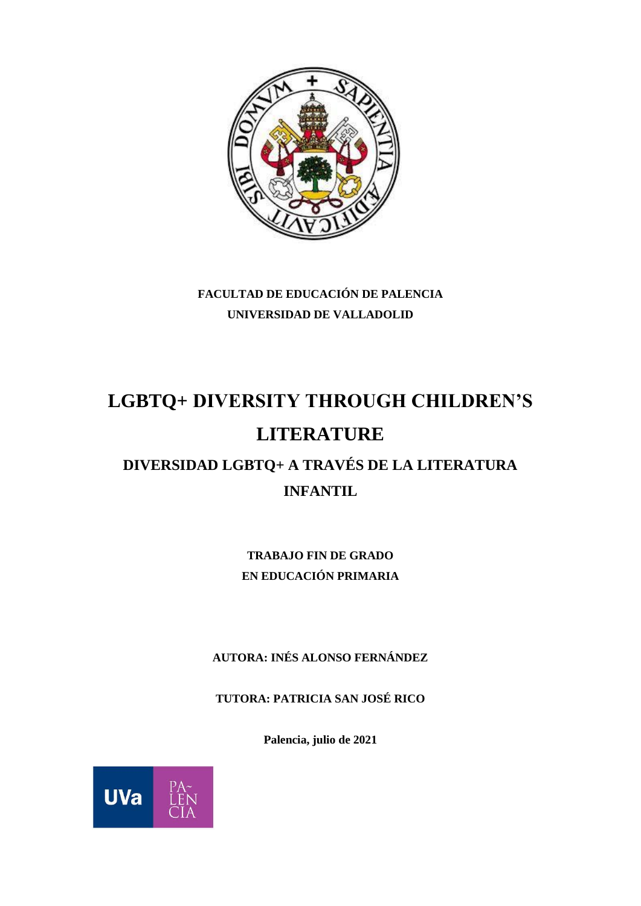

**FACULTAD DE EDUCACIÓN DE PALENCIA UNIVERSIDAD DE VALLADOLID**

# **LGBTQ+ DIVERSITY THROUGH CHILDREN'S LITERATURE**

# **DIVERSIDAD LGBTQ+ A TRAVÉS DE LA LITERATURA INFANTIL**

**TRABAJO FIN DE GRADO EN EDUCACIÓN PRIMARIA**

**AUTORA: INÉS ALONSO FERNÁNDEZ**

**TUTORA: PATRICIA SAN JOSÉ RICO**

**Palencia, julio de 2021**

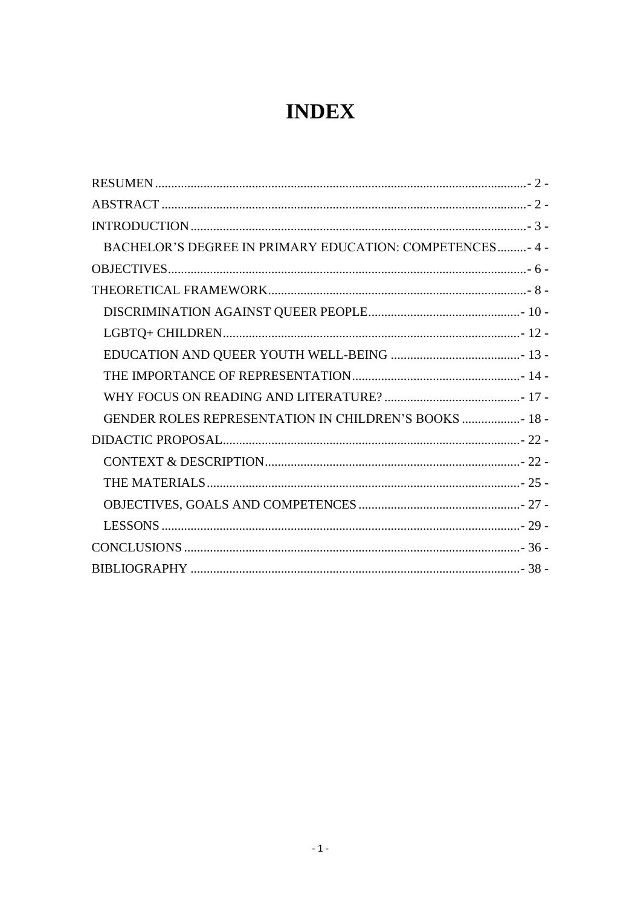# **INDEX**

| BACHELOR'S DEGREE IN PRIMARY EDUCATION: COMPETENCES- 4 - |
|----------------------------------------------------------|
|                                                          |
|                                                          |
|                                                          |
|                                                          |
|                                                          |
|                                                          |
|                                                          |
| GENDER ROLES REPRESENTATION IN CHILDREN'S BOOKS  18 -    |
|                                                          |
|                                                          |
|                                                          |
|                                                          |
|                                                          |
|                                                          |
|                                                          |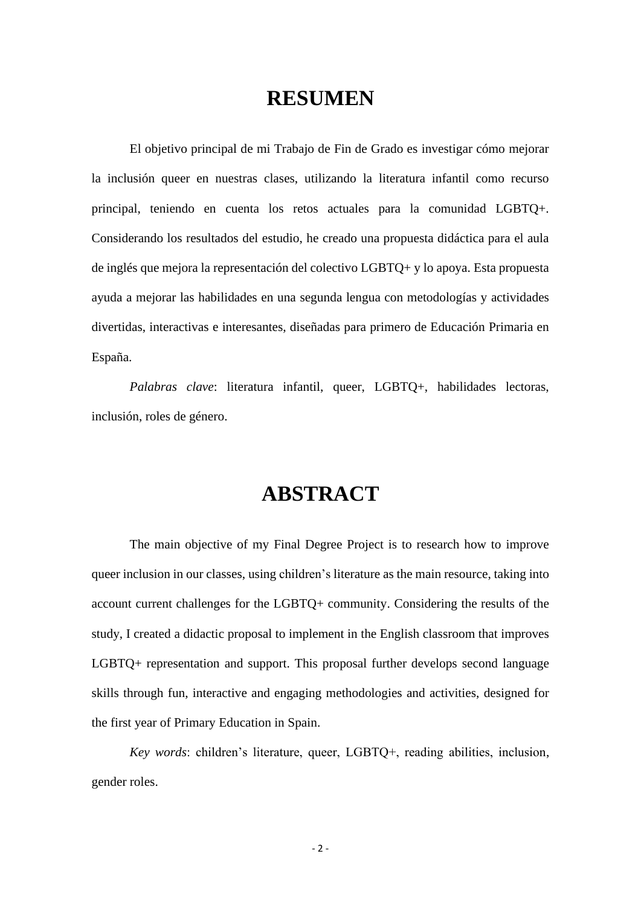### **RESUMEN**

<span id="page-2-0"></span>El objetivo principal de mi Trabajo de Fin de Grado es investigar cómo mejorar la inclusión queer en nuestras clases, utilizando la literatura infantil como recurso principal, teniendo en cuenta los retos actuales para la comunidad LGBTQ+. Considerando los resultados del estudio, he creado una propuesta didáctica para el aula de inglés que mejora la representación del colectivo LGBTQ+ y lo apoya. Esta propuesta ayuda a mejorar las habilidades en una segunda lengua con metodologías y actividades divertidas, interactivas e interesantes, diseñadas para primero de Educación Primaria en España.

*Palabras clave*: literatura infantil, queer, LGBTQ+, habilidades lectoras, inclusión, roles de género.

### **ABSTRACT**

<span id="page-2-1"></span>The main objective of my Final Degree Project is to research how to improve queer inclusion in our classes, using children's literature as the main resource, taking into account current challenges for the LGBTQ+ community. Considering the results of the study, I created a didactic proposal to implement in the English classroom that improves LGBTQ+ representation and support. This proposal further develops second language skills through fun, interactive and engaging methodologies and activities, designed for the first year of Primary Education in Spain.

*Key words*: children's literature, queer, LGBTQ+, reading abilities, inclusion, gender roles.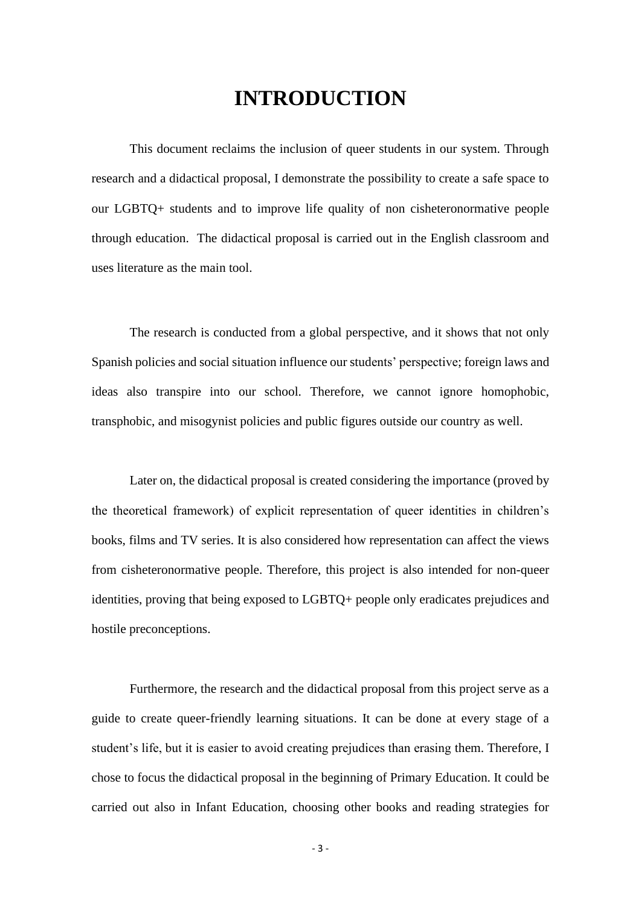## **INTRODUCTION**

<span id="page-3-0"></span>This document reclaims the inclusion of queer students in our system. Through research and a didactical proposal, I demonstrate the possibility to create a safe space to our LGBTQ+ students and to improve life quality of non cisheteronormative people through education. The didactical proposal is carried out in the English classroom and uses literature as the main tool.

The research is conducted from a global perspective, and it shows that not only Spanish policies and social situation influence our students' perspective; foreign laws and ideas also transpire into our school. Therefore, we cannot ignore homophobic, transphobic, and misogynist policies and public figures outside our country as well.

Later on, the didactical proposal is created considering the importance (proved by the theoretical framework) of explicit representation of queer identities in children's books, films and TV series. It is also considered how representation can affect the views from cisheteronormative people. Therefore, this project is also intended for non-queer identities, proving that being exposed to LGBTQ+ people only eradicates prejudices and hostile preconceptions.

Furthermore, the research and the didactical proposal from this project serve as a guide to create queer-friendly learning situations. It can be done at every stage of a student's life, but it is easier to avoid creating prejudices than erasing them. Therefore, I chose to focus the didactical proposal in the beginning of Primary Education. It could be carried out also in Infant Education, choosing other books and reading strategies for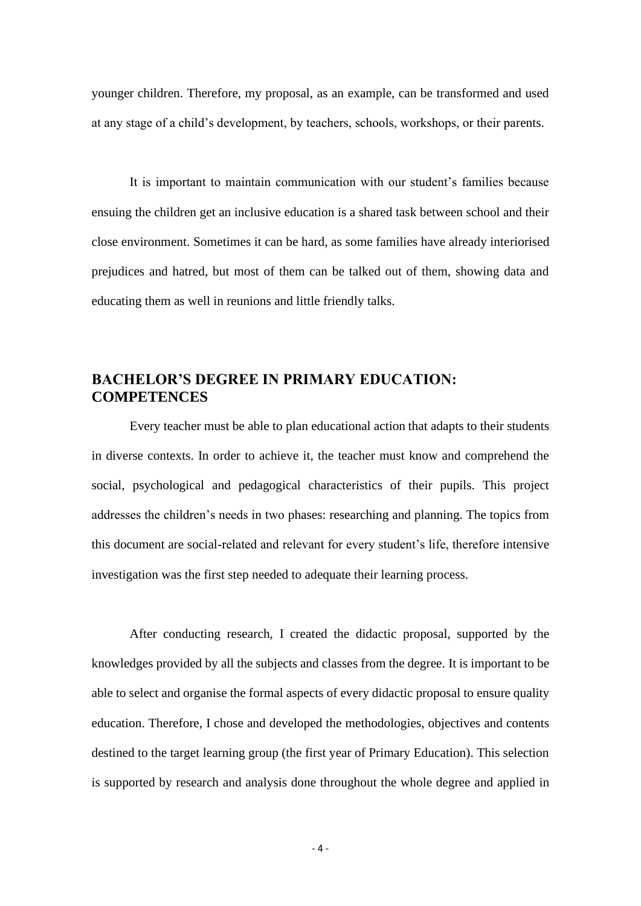younger children. Therefore, my proposal, as an example, can be transformed and used at any stage of a child's development, by teachers, schools, workshops, or their parents.

It is important to maintain communication with our student's families because ensuing the children get an inclusive education is a shared task between school and their close environment. Sometimes it can be hard, as some families have already interiorised prejudices and hatred, but most of them can be talked out of them, showing data and educating them as well in reunions and little friendly talks.

### <span id="page-4-0"></span>**BACHELOR'S DEGREE IN PRIMARY EDUCATION: COMPETENCES**

Every teacher must be able to plan educational action that adapts to their students in diverse contexts. In order to achieve it, the teacher must know and comprehend the social, psychological and pedagogical characteristics of their pupils. This project addresses the children's needs in two phases: researching and planning. The topics from this document are social-related and relevant for every student's life, therefore intensive investigation was the first step needed to adequate their learning process.

After conducting research, I created the didactic proposal, supported by the knowledges provided by all the subjects and classes from the degree. It is important to be able to select and organise the formal aspects of every didactic proposal to ensure quality education. Therefore, I chose and developed the methodologies, objectives and contents destined to the target learning group (the first year of Primary Education). This selection is supported by research and analysis done throughout the whole degree and applied in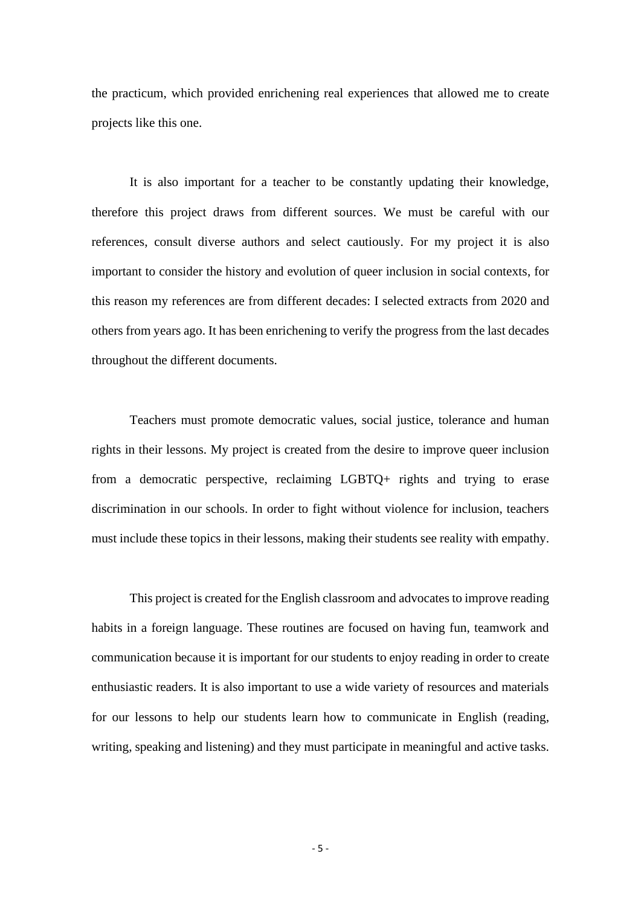the practicum, which provided enrichening real experiences that allowed me to create projects like this one.

It is also important for a teacher to be constantly updating their knowledge, therefore this project draws from different sources. We must be careful with our references, consult diverse authors and select cautiously. For my project it is also important to consider the history and evolution of queer inclusion in social contexts, for this reason my references are from different decades: I selected extracts from 2020 and others from years ago. It has been enrichening to verify the progress from the last decades throughout the different documents.

Teachers must promote democratic values, social justice, tolerance and human rights in their lessons. My project is created from the desire to improve queer inclusion from a democratic perspective, reclaiming LGBTQ+ rights and trying to erase discrimination in our schools. In order to fight without violence for inclusion, teachers must include these topics in their lessons, making their students see reality with empathy.

This project is created for the English classroom and advocates to improve reading habits in a foreign language. These routines are focused on having fun, teamwork and communication because it is important for our students to enjoy reading in order to create enthusiastic readers. It is also important to use a wide variety of resources and materials for our lessons to help our students learn how to communicate in English (reading, writing, speaking and listening) and they must participate in meaningful and active tasks.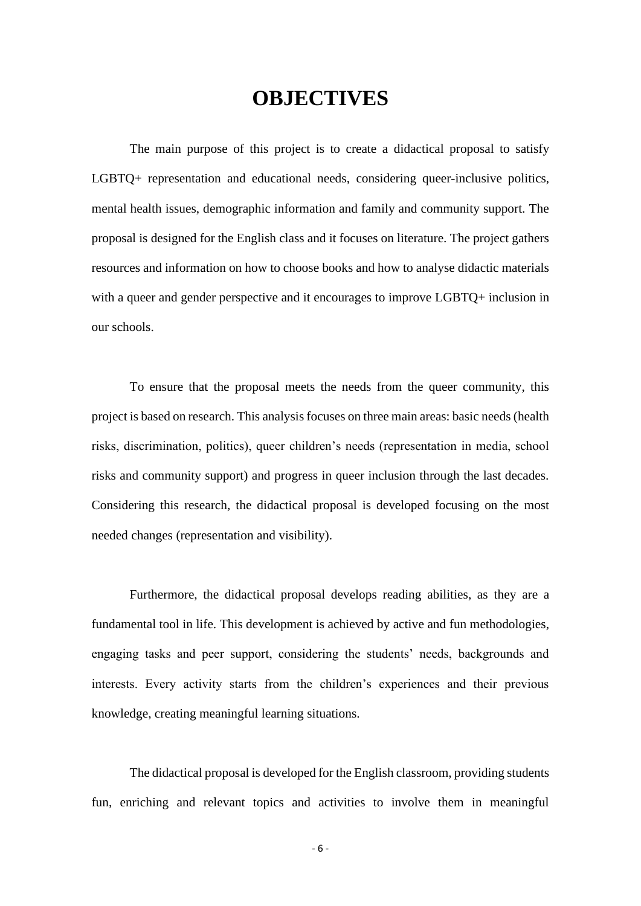# **OBJECTIVES**

<span id="page-6-0"></span>The main purpose of this project is to create a didactical proposal to satisfy LGBTQ+ representation and educational needs, considering queer-inclusive politics, mental health issues, demographic information and family and community support. The proposal is designed for the English class and it focuses on literature. The project gathers resources and information on how to choose books and how to analyse didactic materials with a queer and gender perspective and it encourages to improve LGBTQ+ inclusion in our schools.

To ensure that the proposal meets the needs from the queer community, this project is based on research. This analysis focuses on three main areas: basic needs (health risks, discrimination, politics), queer children's needs (representation in media, school risks and community support) and progress in queer inclusion through the last decades. Considering this research, the didactical proposal is developed focusing on the most needed changes (representation and visibility).

Furthermore, the didactical proposal develops reading abilities, as they are a fundamental tool in life. This development is achieved by active and fun methodologies, engaging tasks and peer support, considering the students' needs, backgrounds and interests. Every activity starts from the children's experiences and their previous knowledge, creating meaningful learning situations.

The didactical proposal is developed for the English classroom, providing students fun, enriching and relevant topics and activities to involve them in meaningful

- 6 -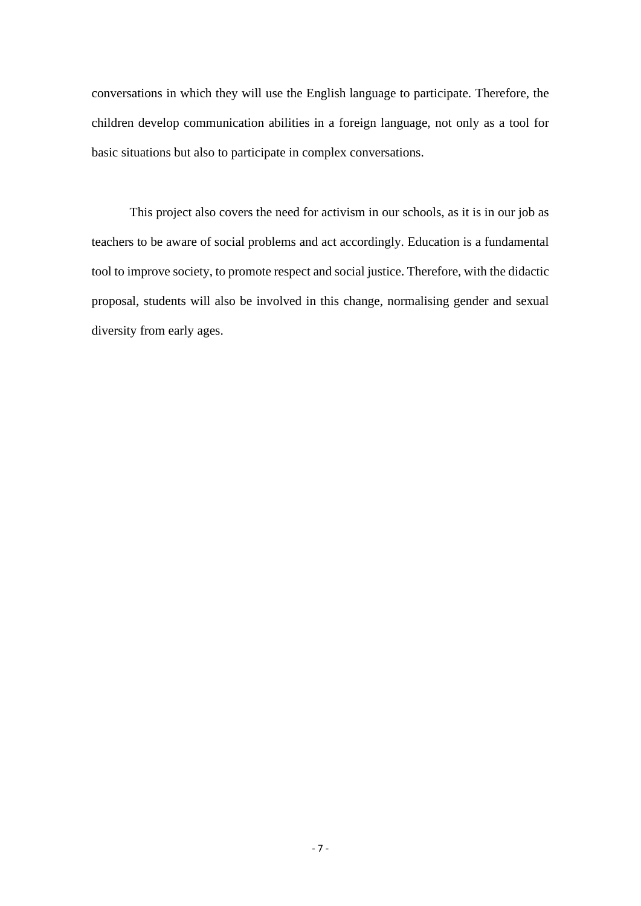conversations in which they will use the English language to participate. Therefore, the children develop communication abilities in a foreign language, not only as a tool for basic situations but also to participate in complex conversations.

This project also covers the need for activism in our schools, as it is in our job as teachers to be aware of social problems and act accordingly. Education is a fundamental tool to improve society, to promote respect and social justice. Therefore, with the didactic proposal, students will also be involved in this change, normalising gender and sexual diversity from early ages.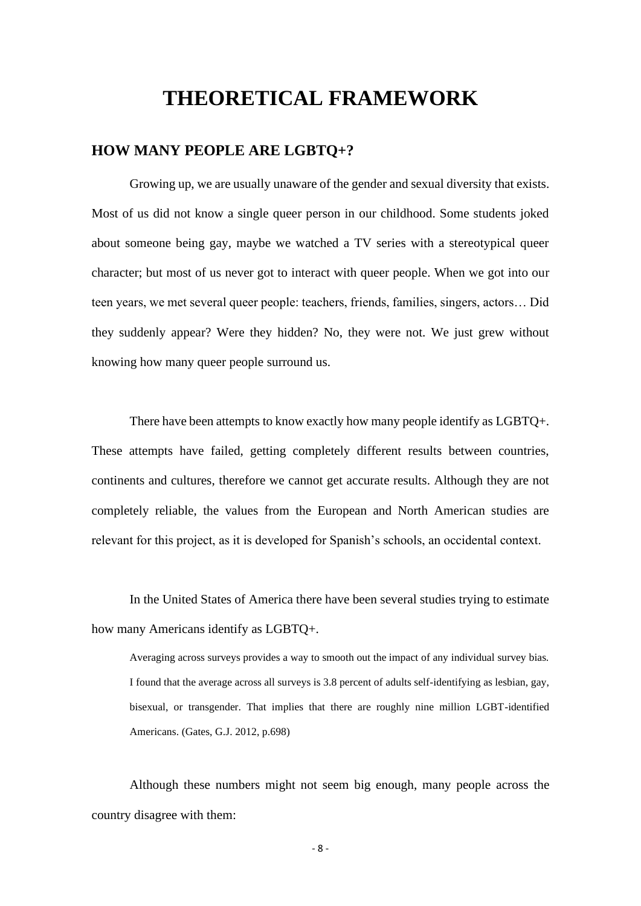## **THEORETICAL FRAMEWORK**

### <span id="page-8-0"></span>**HOW MANY PEOPLE ARE LGBTQ+?**

Growing up, we are usually unaware of the gender and sexual diversity that exists. Most of us did not know a single queer person in our childhood. Some students joked about someone being gay, maybe we watched a TV series with a stereotypical queer character; but most of us never got to interact with queer people. When we got into our teen years, we met several queer people: teachers, friends, families, singers, actors… Did they suddenly appear? Were they hidden? No, they were not. We just grew without knowing how many queer people surround us.

There have been attempts to know exactly how many people identify as LGBTQ+. These attempts have failed, getting completely different results between countries, continents and cultures, therefore we cannot get accurate results. Although they are not completely reliable, the values from the European and North American studies are relevant for this project, as it is developed for Spanish's schools, an occidental context.

In the United States of America there have been several studies trying to estimate how many Americans identify as LGBTQ+.

Averaging across surveys provides a way to smooth out the impact of any individual survey bias. I found that the average across all surveys is 3.8 percent of adults self-identifying as lesbian, gay, bisexual, or transgender. That implies that there are roughly nine million LGBT-identified Americans. (Gates, G.J. 2012, p.698)

Although these numbers might not seem big enough, many people across the country disagree with them:

- 8 -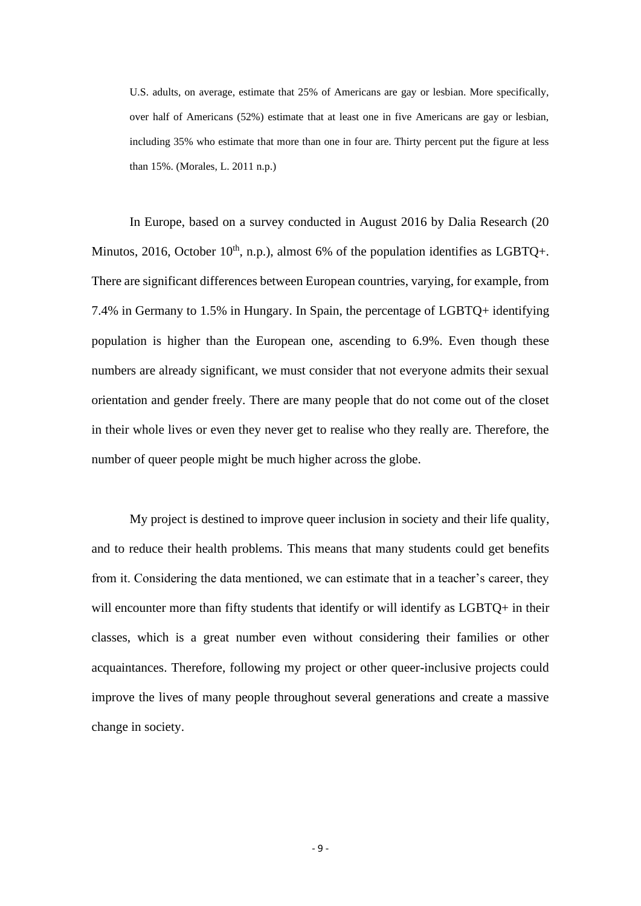U.S. adults, on average, estimate that 25% of Americans are gay or lesbian. More specifically, over half of Americans (52%) estimate that at least one in five Americans are gay or lesbian, including 35% who estimate that more than one in four are. Thirty percent put the figure at less than 15%. (Morales, L. 2011 n.p.)

In Europe, based on a survey conducted in August 2016 by Dalia Research (20 Minutos, 2016, October  $10^{th}$ , n.p.), almost 6% of the population identifies as LGBTQ+. There are significant differences between European countries, varying, for example, from 7.4% in Germany to 1.5% in Hungary. In Spain, the percentage of LGBTQ+ identifying population is higher than the European one, ascending to 6.9%. Even though these numbers are already significant, we must consider that not everyone admits their sexual orientation and gender freely. There are many people that do not come out of the closet in their whole lives or even they never get to realise who they really are. Therefore, the number of queer people might be much higher across the globe.

My project is destined to improve queer inclusion in society and their life quality, and to reduce their health problems. This means that many students could get benefits from it. Considering the data mentioned, we can estimate that in a teacher's career, they will encounter more than fifty students that identify or will identify as LGBTQ+ in their classes, which is a great number even without considering their families or other acquaintances. Therefore, following my project or other queer-inclusive projects could improve the lives of many people throughout several generations and create a massive change in society.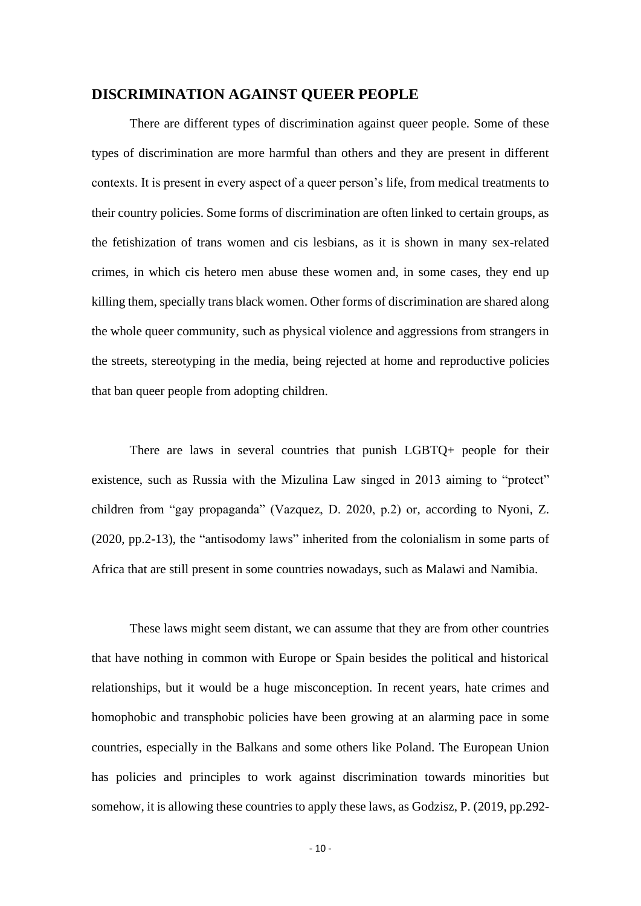#### <span id="page-10-0"></span>**DISCRIMINATION AGAINST QUEER PEOPLE**

There are different types of discrimination against queer people. Some of these types of discrimination are more harmful than others and they are present in different contexts. It is present in every aspect of a queer person's life, from medical treatments to their country policies. Some forms of discrimination are often linked to certain groups, as the fetishization of trans women and cis lesbians, as it is shown in many sex-related crimes, in which cis hetero men abuse these women and, in some cases, they end up killing them, specially trans black women. Other forms of discrimination are shared along the whole queer community, such as physical violence and aggressions from strangers in the streets, stereotyping in the media, being rejected at home and reproductive policies that ban queer people from adopting children.

There are laws in several countries that punish LGBTQ+ people for their existence, such as Russia with the Mizulina Law singed in 2013 aiming to "protect" children from "gay propaganda" (Vazquez, D. 2020, p.2) or, according to Nyoni, Z. (2020, pp.2-13), the "antisodomy laws" inherited from the colonialism in some parts of Africa that are still present in some countries nowadays, such as Malawi and Namibia.

These laws might seem distant, we can assume that they are from other countries that have nothing in common with Europe or Spain besides the political and historical relationships, but it would be a huge misconception. In recent years, hate crimes and homophobic and transphobic policies have been growing at an alarming pace in some countries, especially in the Balkans and some others like Poland. The European Union has policies and principles to work against discrimination towards minorities but somehow, it is allowing these countries to apply these laws, as Godzisz, P. (2019, pp.292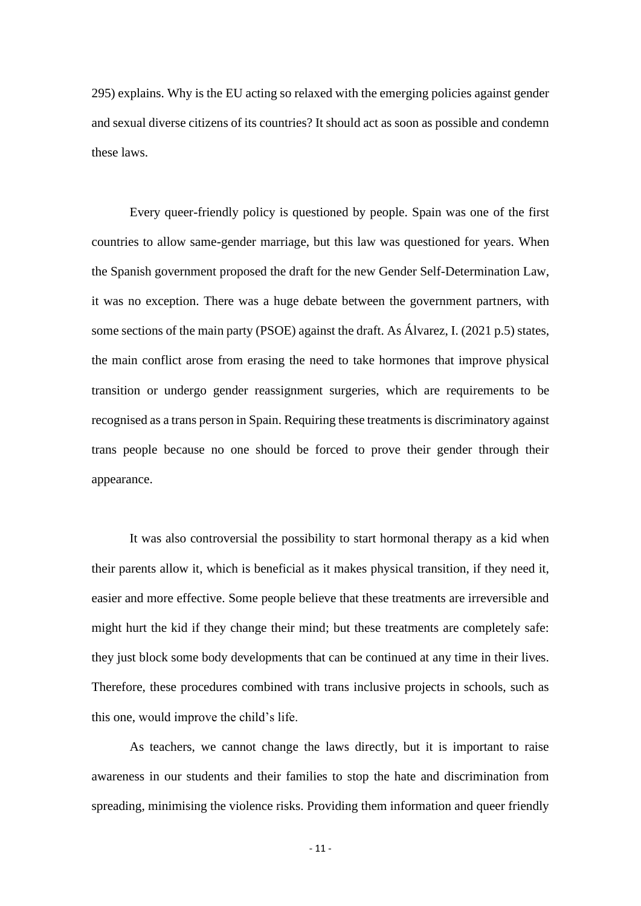295) explains. Why is the EU acting so relaxed with the emerging policies against gender and sexual diverse citizens of its countries? It should act as soon as possible and condemn these laws.

Every queer-friendly policy is questioned by people. Spain was one of the first countries to allow same-gender marriage, but this law was questioned for years. When the Spanish government proposed the draft for the new Gender Self-Determination Law, it was no exception. There was a huge debate between the government partners, with some sections of the main party (PSOE) against the draft. As Álvarez, I. (2021 p.5) states, the main conflict arose from erasing the need to take hormones that improve physical transition or undergo gender reassignment surgeries, which are requirements to be recognised as a trans person in Spain. Requiring these treatments is discriminatory against trans people because no one should be forced to prove their gender through their appearance.

It was also controversial the possibility to start hormonal therapy as a kid when their parents allow it, which is beneficial as it makes physical transition, if they need it, easier and more effective. Some people believe that these treatments are irreversible and might hurt the kid if they change their mind; but these treatments are completely safe: they just block some body developments that can be continued at any time in their lives. Therefore, these procedures combined with trans inclusive projects in schools, such as this one, would improve the child's life.

As teachers, we cannot change the laws directly, but it is important to raise awareness in our students and their families to stop the hate and discrimination from spreading, minimising the violence risks. Providing them information and queer friendly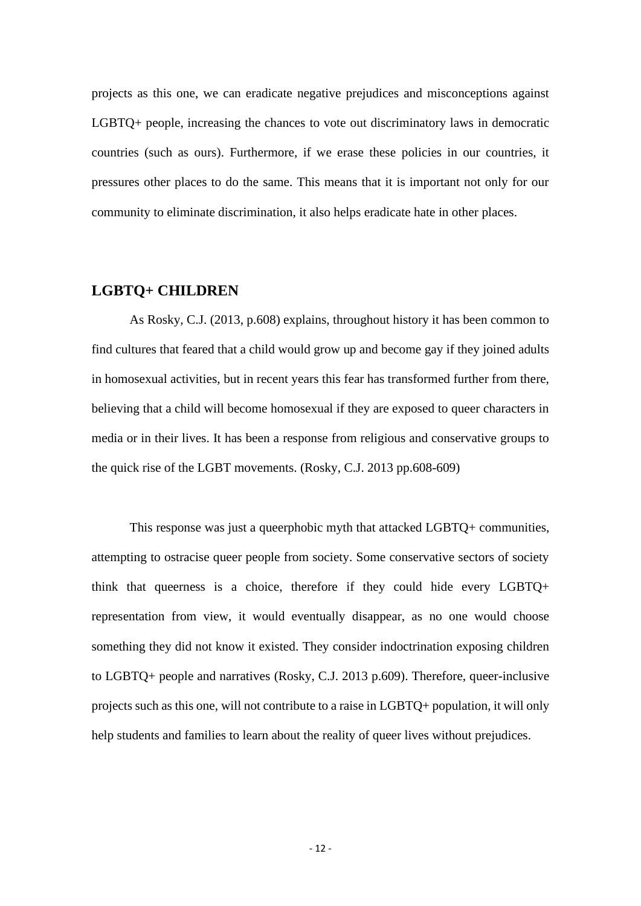projects as this one, we can eradicate negative prejudices and misconceptions against LGBTQ+ people, increasing the chances to vote out discriminatory laws in democratic countries (such as ours). Furthermore, if we erase these policies in our countries, it pressures other places to do the same. This means that it is important not only for our community to eliminate discrimination, it also helps eradicate hate in other places.

### <span id="page-12-0"></span>**LGBTQ+ CHILDREN**

As Rosky, C.J. (2013, p.608) explains, throughout history it has been common to find cultures that feared that a child would grow up and become gay if they joined adults in homosexual activities, but in recent years this fear has transformed further from there, believing that a child will become homosexual if they are exposed to queer characters in media or in their lives. It has been a response from religious and conservative groups to the quick rise of the LGBT movements. (Rosky, C.J. 2013 pp.608-609)

This response was just a queerphobic myth that attacked LGBTQ+ communities, attempting to ostracise queer people from society. Some conservative sectors of society think that queerness is a choice, therefore if they could hide every LGBTQ+ representation from view, it would eventually disappear, as no one would choose something they did not know it existed. They consider indoctrination exposing children to LGBTQ+ people and narratives (Rosky, C.J. 2013 p.609). Therefore, queer-inclusive projects such as this one, will not contribute to a raise in LGBTQ+ population, it will only help students and families to learn about the reality of queer lives without prejudices.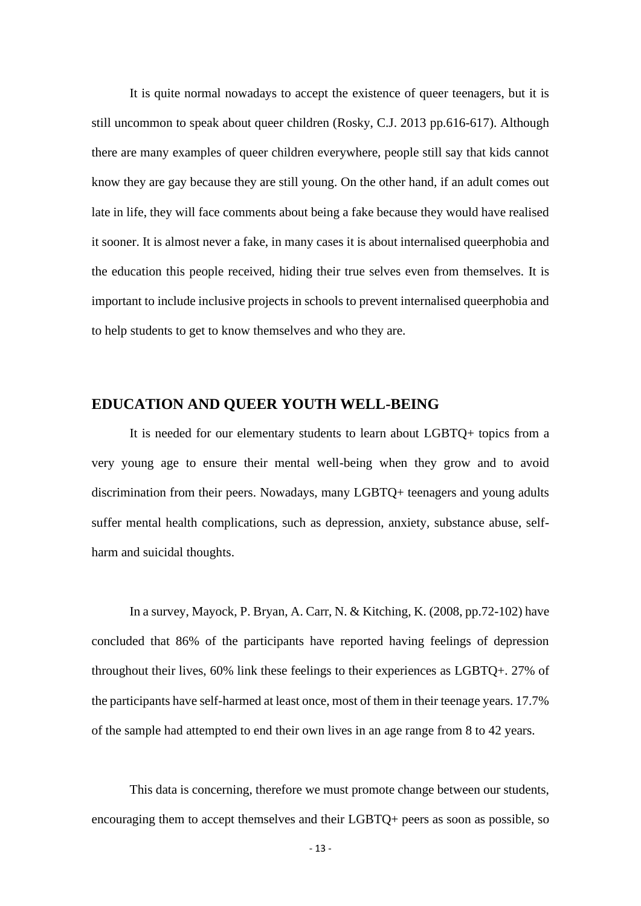It is quite normal nowadays to accept the existence of queer teenagers, but it is still uncommon to speak about queer children (Rosky, C.J. 2013 pp.616-617). Although there are many examples of queer children everywhere, people still say that kids cannot know they are gay because they are still young. On the other hand, if an adult comes out late in life, they will face comments about being a fake because they would have realised it sooner. It is almost never a fake, in many cases it is about internalised queerphobia and the education this people received, hiding their true selves even from themselves. It is important to include inclusive projects in schools to prevent internalised queerphobia and to help students to get to know themselves and who they are.

### <span id="page-13-0"></span>**EDUCATION AND QUEER YOUTH WELL-BEING**

It is needed for our elementary students to learn about LGBTQ+ topics from a very young age to ensure their mental well-being when they grow and to avoid discrimination from their peers. Nowadays, many LGBTQ+ teenagers and young adults suffer mental health complications, such as depression, anxiety, substance abuse, selfharm and suicidal thoughts.

In a survey, Mayock, P. Bryan, A. Carr, N. & Kitching, K. (2008, pp.72-102) have concluded that 86% of the participants have reported having feelings of depression throughout their lives, 60% link these feelings to their experiences as LGBTQ+. 27% of the participants have self-harmed at least once, most of them in their teenage years. 17.7% of the sample had attempted to end their own lives in an age range from 8 to 42 years.

This data is concerning, therefore we must promote change between our students, encouraging them to accept themselves and their LGBTQ+ peers as soon as possible, so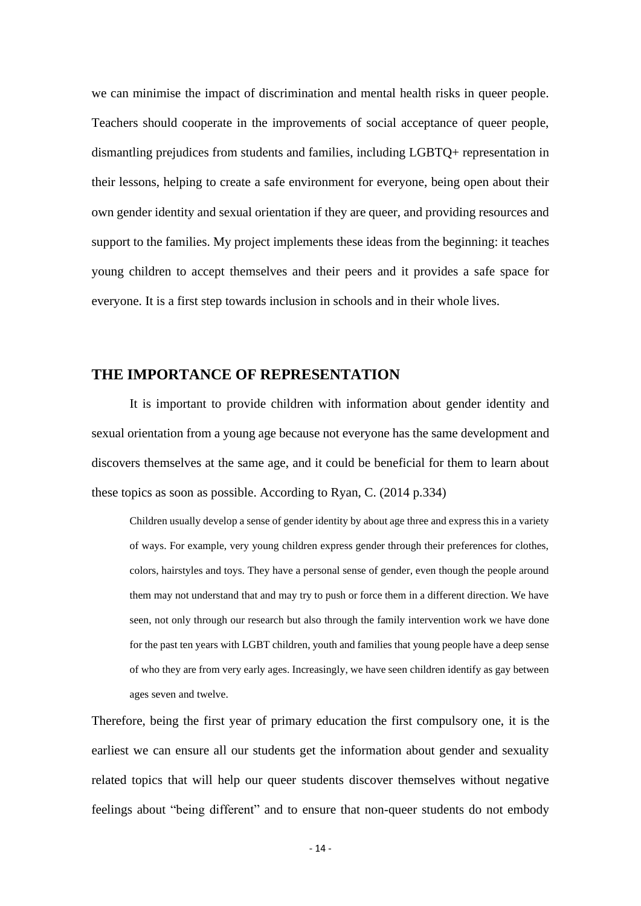we can minimise the impact of discrimination and mental health risks in queer people. Teachers should cooperate in the improvements of social acceptance of queer people, dismantling prejudices from students and families, including LGBTQ+ representation in their lessons, helping to create a safe environment for everyone, being open about their own gender identity and sexual orientation if they are queer, and providing resources and support to the families. My project implements these ideas from the beginning: it teaches young children to accept themselves and their peers and it provides a safe space for everyone. It is a first step towards inclusion in schools and in their whole lives.

### <span id="page-14-0"></span>**THE IMPORTANCE OF REPRESENTATION**

It is important to provide children with information about gender identity and sexual orientation from a young age because not everyone has the same development and discovers themselves at the same age, and it could be beneficial for them to learn about these topics as soon as possible. According to Ryan, C. (2014 p.334)

Children usually develop a sense of gender identity by about age three and express this in a variety of ways. For example, very young children express gender through their preferences for clothes, colors, hairstyles and toys. They have a personal sense of gender, even though the people around them may not understand that and may try to push or force them in a different direction. We have seen, not only through our research but also through the family intervention work we have done for the past ten years with LGBT children, youth and families that young people have a deep sense of who they are from very early ages. Increasingly, we have seen children identify as gay between ages seven and twelve.

Therefore, being the first year of primary education the first compulsory one, it is the earliest we can ensure all our students get the information about gender and sexuality related topics that will help our queer students discover themselves without negative feelings about "being different" and to ensure that non-queer students do not embody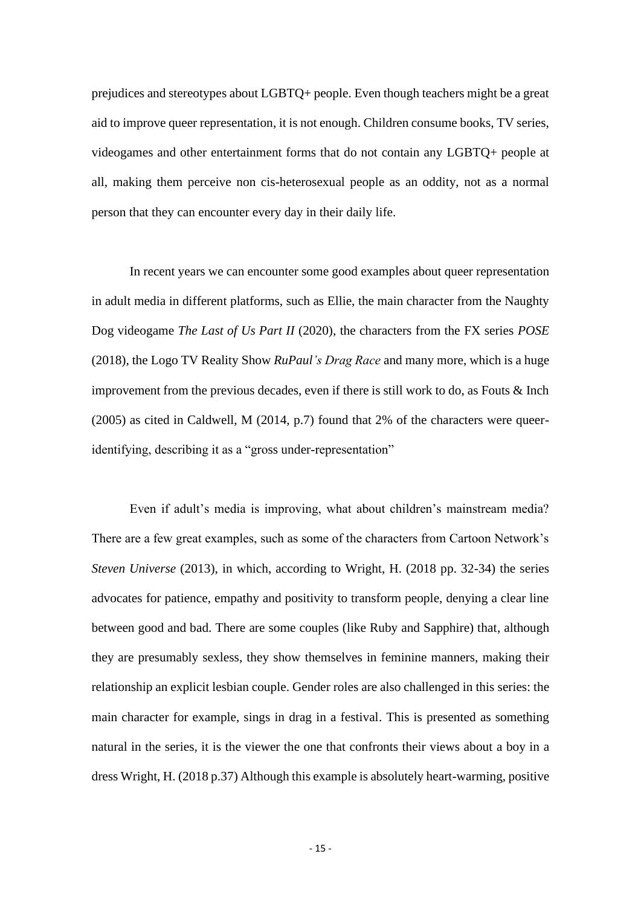prejudices and stereotypes about LGBTQ+ people. Even though teachers might be a great aid to improve queer representation, it is not enough. Children consume books, TV series, videogames and other entertainment forms that do not contain any LGBTQ+ people at all, making them perceive non cis-heterosexual people as an oddity, not as a normal person that they can encounter every day in their daily life.

In recent years we can encounter some good examples about queer representation in adult media in different platforms, such as Ellie, the main character from the Naughty Dog videogame *The Last of Us Part II* (2020), the characters from the FX series *POSE* (2018), the Logo TV Reality Show *RuPaul's Drag Race* and many more, which is a huge improvement from the previous decades, even if there is still work to do, as Fouts & Inch (2005) as cited in Caldwell, M (2014, p.7) found that 2% of the characters were queeridentifying, describing it as a "gross under-representation"

Even if adult's media is improving, what about children's mainstream media? There are a few great examples, such as some of the characters from Cartoon Network's *Steven Universe* (2013), in which, according to Wright, H. (2018 pp. 32-34) the series advocates for patience, empathy and positivity to transform people, denying a clear line between good and bad. There are some couples (like Ruby and Sapphire) that, although they are presumably sexless, they show themselves in feminine manners, making their relationship an explicit lesbian couple. Gender roles are also challenged in this series: the main character for example, sings in drag in a festival. This is presented as something natural in the series, it is the viewer the one that confronts their views about a boy in a dress Wright, H. (2018 p.37) Although this example is absolutely heart-warming, positive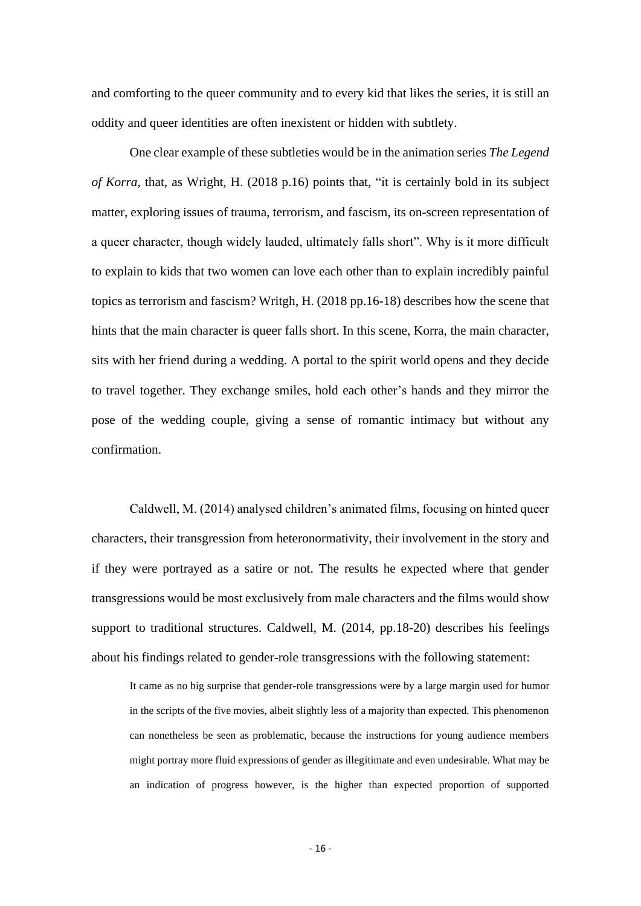and comforting to the queer community and to every kid that likes the series, it is still an oddity and queer identities are often inexistent or hidden with subtlety.

One clear example of these subtleties would be in the animation series *The Legend of Korra*, that, as Wright, H. (2018 p.16) points that, "it is certainly bold in its subject matter, exploring issues of trauma, terrorism, and fascism, its on-screen representation of a queer character, though widely lauded, ultimately falls short". Why is it more difficult to explain to kids that two women can love each other than to explain incredibly painful topics as terrorism and fascism? Writgh, H. (2018 pp.16-18) describes how the scene that hints that the main character is queer falls short. In this scene, Korra, the main character, sits with her friend during a wedding. A portal to the spirit world opens and they decide to travel together. They exchange smiles, hold each other's hands and they mirror the pose of the wedding couple, giving a sense of romantic intimacy but without any confirmation.

Caldwell, M. (2014) analysed children's animated films, focusing on hinted queer characters, their transgression from heteronormativity, their involvement in the story and if they were portrayed as a satire or not. The results he expected where that gender transgressions would be most exclusively from male characters and the films would show support to traditional structures. Caldwell, M. (2014, pp.18-20) describes his feelings about his findings related to gender-role transgressions with the following statement:

It came as no big surprise that gender-role transgressions were by a large margin used for humor in the scripts of the five movies, albeit slightly less of a majority than expected. This phenomenon can nonetheless be seen as problematic, because the instructions for young audience members might portray more fluid expressions of gender as illegitimate and even undesirable. What may be an indication of progress however, is the higher than expected proportion of supported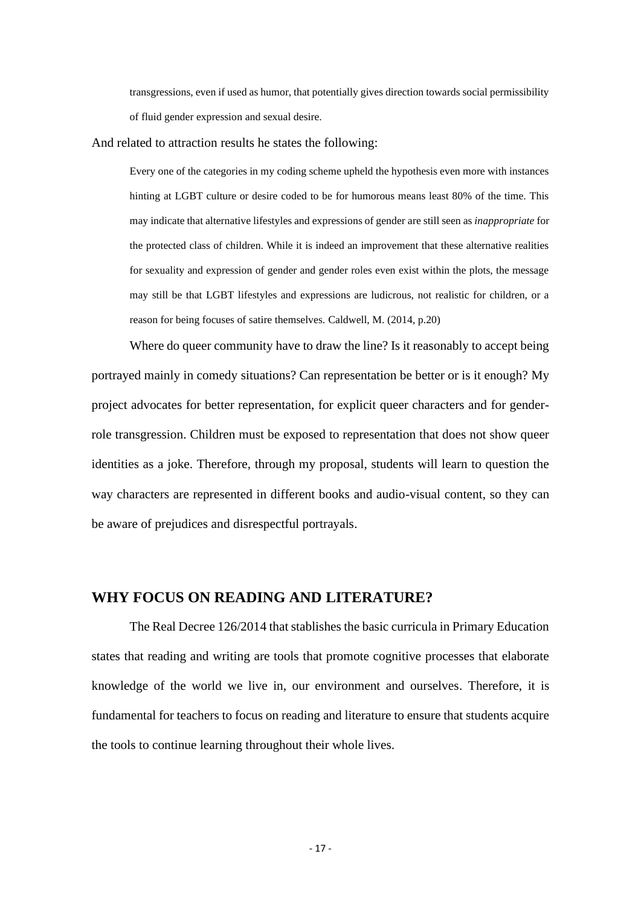transgressions, even if used as humor, that potentially gives direction towards social permissibility of fluid gender expression and sexual desire.

And related to attraction results he states the following:

Every one of the categories in my coding scheme upheld the hypothesis even more with instances hinting at LGBT culture or desire coded to be for humorous means least 80% of the time. This may indicate that alternative lifestyles and expressions of gender are still seen as *inappropriate* for the protected class of children. While it is indeed an improvement that these alternative realities for sexuality and expression of gender and gender roles even exist within the plots, the message may still be that LGBT lifestyles and expressions are ludicrous, not realistic for children, or a reason for being focuses of satire themselves. Caldwell, M. (2014, p.20)

Where do queer community have to draw the line? Is it reasonably to accept being portrayed mainly in comedy situations? Can representation be better or is it enough? My project advocates for better representation, for explicit queer characters and for genderrole transgression. Children must be exposed to representation that does not show queer identities as a joke. Therefore, through my proposal, students will learn to question the way characters are represented in different books and audio-visual content, so they can be aware of prejudices and disrespectful portrayals.

### <span id="page-17-0"></span>**WHY FOCUS ON READING AND LITERATURE?**

The Real Decree 126/2014 that stablishes the basic curricula in Primary Education states that reading and writing are tools that promote cognitive processes that elaborate knowledge of the world we live in, our environment and ourselves. Therefore, it is fundamental for teachers to focus on reading and literature to ensure that students acquire the tools to continue learning throughout their whole lives.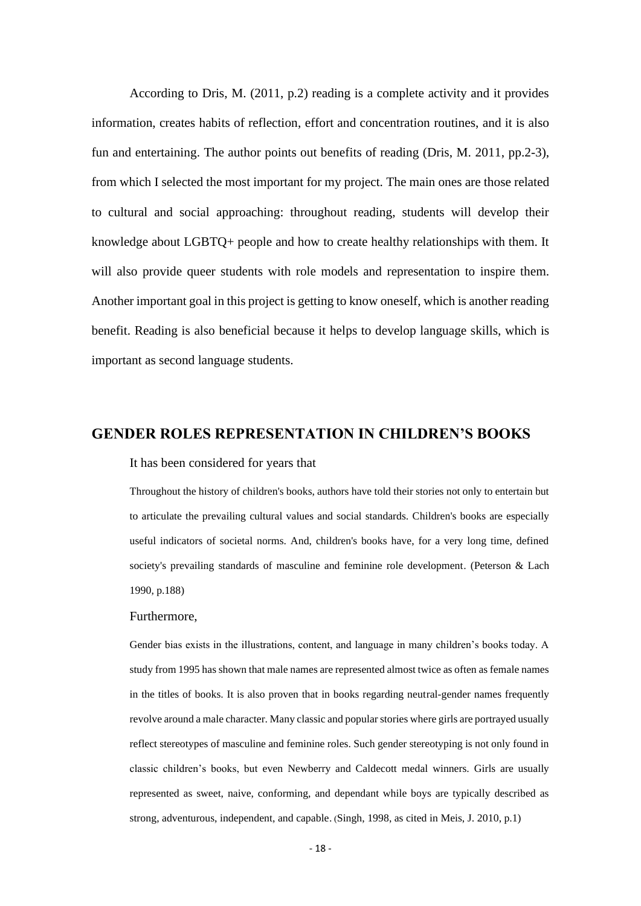According to Dris, M. (2011, p.2) reading is a complete activity and it provides information, creates habits of reflection, effort and concentration routines, and it is also fun and entertaining. The author points out benefits of reading (Dris, M. 2011, pp.2-3), from which I selected the most important for my project. The main ones are those related to cultural and social approaching: throughout reading, students will develop their knowledge about LGBTQ+ people and how to create healthy relationships with them. It will also provide queer students with role models and representation to inspire them. Another important goal in this project is getting to know oneself, which is another reading benefit. Reading is also beneficial because it helps to develop language skills, which is important as second language students.

### <span id="page-18-0"></span>**GENDER ROLES REPRESENTATION IN CHILDREN'S BOOKS**

#### It has been considered for years that

Throughout the history of children's books, authors have told their stories not only to entertain but to articulate the prevailing cultural values and social standards. Children's books are especially useful indicators of societal norms. And, children's books have, for a very long time, defined society's prevailing standards of masculine and feminine role development. (Peterson & Lach 1990, p.188)

#### Furthermore,

Gender bias exists in the illustrations, content, and language in many children's books today. A study from 1995 has shown that male names are represented almost twice as often as female names in the titles of books. It is also proven that in books regarding neutral-gender names frequently revolve around a male character. Many classic and popular stories where girls are portrayed usually reflect stereotypes of masculine and feminine roles. Such gender stereotyping is not only found in classic children's books, but even Newberry and Caldecott medal winners. Girls are usually represented as sweet, naive, conforming, and dependant while boys are typically described as strong, adventurous, independent, and capable. (Singh, 1998, as cited in Meis, J. 2010, p.1)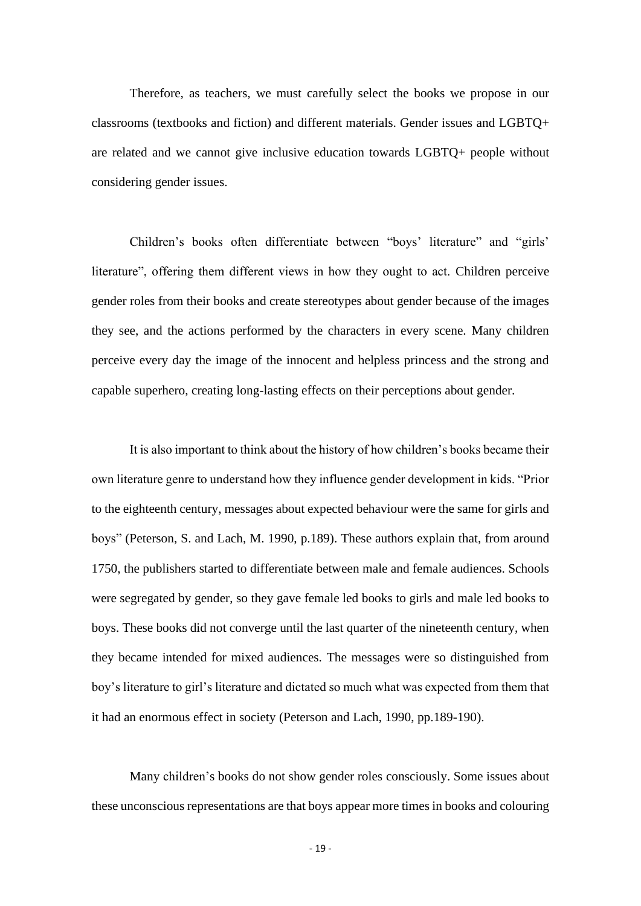Therefore, as teachers, we must carefully select the books we propose in our classrooms (textbooks and fiction) and different materials. Gender issues and LGBTQ+ are related and we cannot give inclusive education towards LGBTQ+ people without considering gender issues.

Children's books often differentiate between "boys' literature" and "girls' literature", offering them different views in how they ought to act. Children perceive gender roles from their books and create stereotypes about gender because of the images they see, and the actions performed by the characters in every scene. Many children perceive every day the image of the innocent and helpless princess and the strong and capable superhero, creating long-lasting effects on their perceptions about gender.

It is also important to think about the history of how children's books became their own literature genre to understand how they influence gender development in kids. "Prior to the eighteenth century, messages about expected behaviour were the same for girls and boys" (Peterson, S. and Lach, M. 1990, p.189). These authors explain that, from around 1750, the publishers started to differentiate between male and female audiences. Schools were segregated by gender, so they gave female led books to girls and male led books to boys. These books did not converge until the last quarter of the nineteenth century, when they became intended for mixed audiences. The messages were so distinguished from boy's literature to girl's literature and dictated so much what was expected from them that it had an enormous effect in society (Peterson and Lach, 1990, pp.189-190).

Many children's books do not show gender roles consciously. Some issues about these unconscious representations are that boys appear more times in books and colouring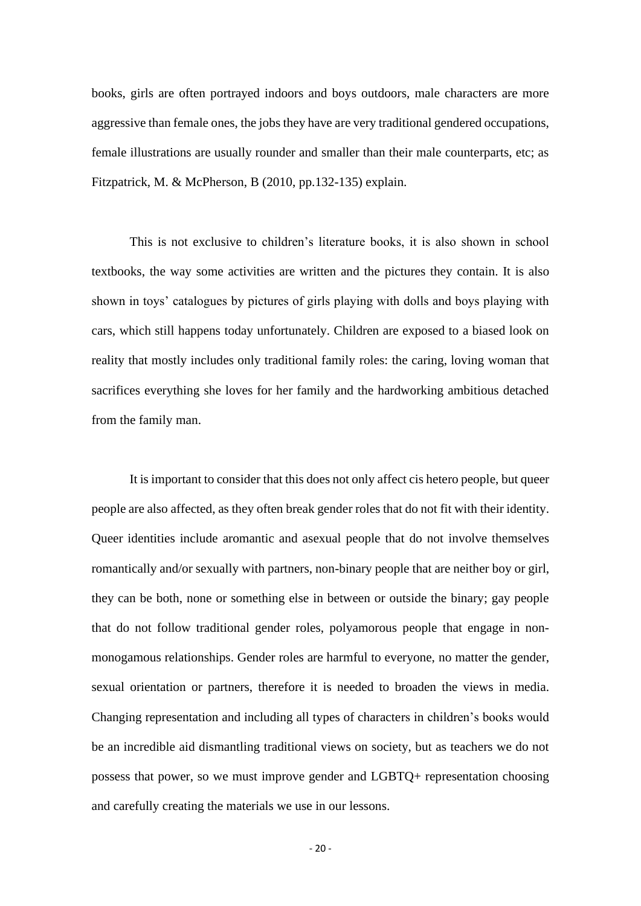books, girls are often portrayed indoors and boys outdoors, male characters are more aggressive than female ones, the jobs they have are very traditional gendered occupations, female illustrations are usually rounder and smaller than their male counterparts, etc; as Fitzpatrick, M. & McPherson, B (2010, pp.132-135) explain.

This is not exclusive to children's literature books, it is also shown in school textbooks, the way some activities are written and the pictures they contain. It is also shown in toys' catalogues by pictures of girls playing with dolls and boys playing with cars, which still happens today unfortunately. Children are exposed to a biased look on reality that mostly includes only traditional family roles: the caring, loving woman that sacrifices everything she loves for her family and the hardworking ambitious detached from the family man.

It is important to consider that this does not only affect cis hetero people, but queer people are also affected, as they often break gender roles that do not fit with their identity. Queer identities include aromantic and asexual people that do not involve themselves romantically and/or sexually with partners, non-binary people that are neither boy or girl, they can be both, none or something else in between or outside the binary; gay people that do not follow traditional gender roles, polyamorous people that engage in nonmonogamous relationships. Gender roles are harmful to everyone, no matter the gender, sexual orientation or partners, therefore it is needed to broaden the views in media. Changing representation and including all types of characters in children's books would be an incredible aid dismantling traditional views on society, but as teachers we do not possess that power, so we must improve gender and LGBTQ+ representation choosing and carefully creating the materials we use in our lessons.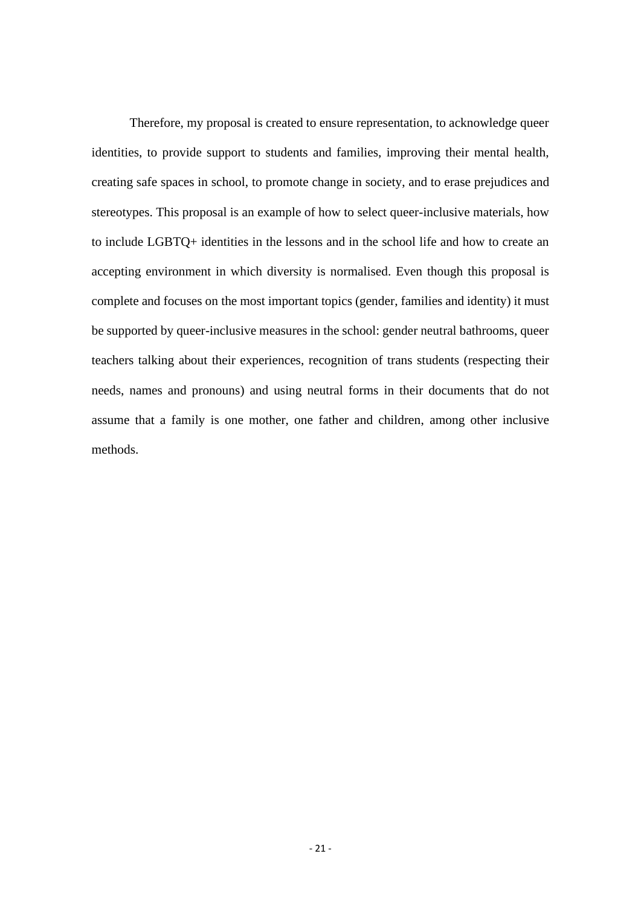Therefore, my proposal is created to ensure representation, to acknowledge queer identities, to provide support to students and families, improving their mental health, creating safe spaces in school, to promote change in society, and to erase prejudices and stereotypes. This proposal is an example of how to select queer-inclusive materials, how to include LGBTQ+ identities in the lessons and in the school life and how to create an accepting environment in which diversity is normalised. Even though this proposal is complete and focuses on the most important topics (gender, families and identity) it must be supported by queer-inclusive measures in the school: gender neutral bathrooms, queer teachers talking about their experiences, recognition of trans students (respecting their needs, names and pronouns) and using neutral forms in their documents that do not assume that a family is one mother, one father and children, among other inclusive methods.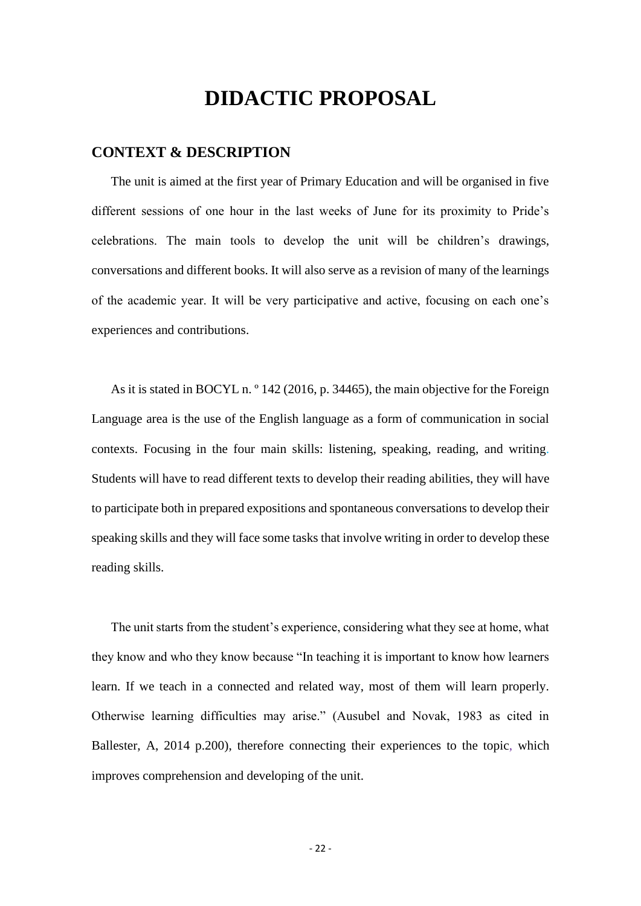# **DIDACTIC PROPOSAL**

#### <span id="page-22-1"></span><span id="page-22-0"></span>**CONTEXT & DESCRIPTION**

The unit is aimed at the first year of Primary Education and will be organised in five different sessions of one hour in the last weeks of June for its proximity to Pride's celebrations. The main tools to develop the unit will be children's drawings, conversations and different books. It will also serve as a revision of many of the learnings of the academic year. It will be very participative and active, focusing on each one's experiences and contributions.

As it is stated in BOCYL n. <sup>o</sup> 142 (2016, p. 34465), the main objective for the Foreign Language area is the use of the English language as a form of communication in social contexts. Focusing in the four main skills: listening, speaking, reading, and writing. Students will have to read different texts to develop their reading abilities, they will have to participate both in prepared expositions and spontaneous conversations to develop their speaking skills and they will face some tasks that involve writing in order to develop these reading skills.

The unit starts from the student's experience, considering what they see at home, what they know and who they know because "In teaching it is important to know how learners learn. If we teach in a connected and related way, most of them will learn properly. Otherwise learning difficulties may arise." (Ausubel and Novak, 1983 as cited in Ballester, A, 2014 p.200), therefore connecting their experiences to the topic, which improves comprehension and developing of the unit.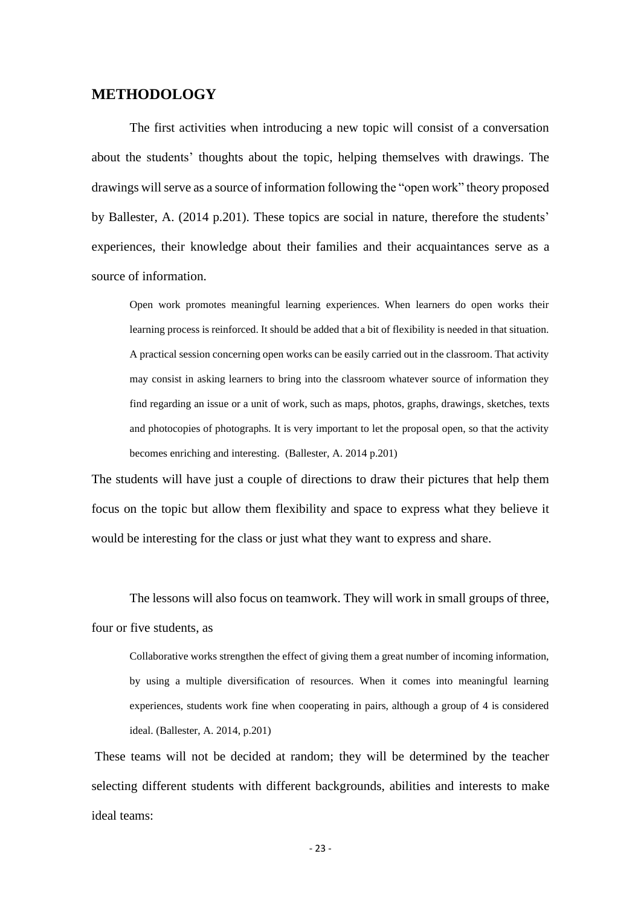### **METHODOLOGY**

The first activities when introducing a new topic will consist of a conversation about the students' thoughts about the topic, helping themselves with drawings. The drawings will serve as a source of information following the "open work" theory proposed by Ballester, A. (2014 p.201). These topics are social in nature, therefore the students' experiences, their knowledge about their families and their acquaintances serve as a source of information.

Open work promotes meaningful learning experiences. When learners do open works their learning process is reinforced. It should be added that a bit of flexibility is needed in that situation. A practical session concerning open works can be easily carried out in the classroom. That activity may consist in asking learners to bring into the classroom whatever source of information they find regarding an issue or a unit of work, such as maps, photos, graphs, drawings, sketches, texts and photocopies of photographs. It is very important to let the proposal open, so that the activity becomes enriching and interesting. (Ballester, A. 2014 p.201)

The students will have just a couple of directions to draw their pictures that help them focus on the topic but allow them flexibility and space to express what they believe it would be interesting for the class or just what they want to express and share.

The lessons will also focus on teamwork. They will work in small groups of three, four or five students, as

Collaborative works strengthen the effect of giving them a great number of incoming information, by using a multiple diversification of resources. When it comes into meaningful learning experiences, students work fine when cooperating in pairs, although a group of 4 is considered ideal. (Ballester, A. 2014, p.201)

These teams will not be decided at random; they will be determined by the teacher selecting different students with different backgrounds, abilities and interests to make ideal teams: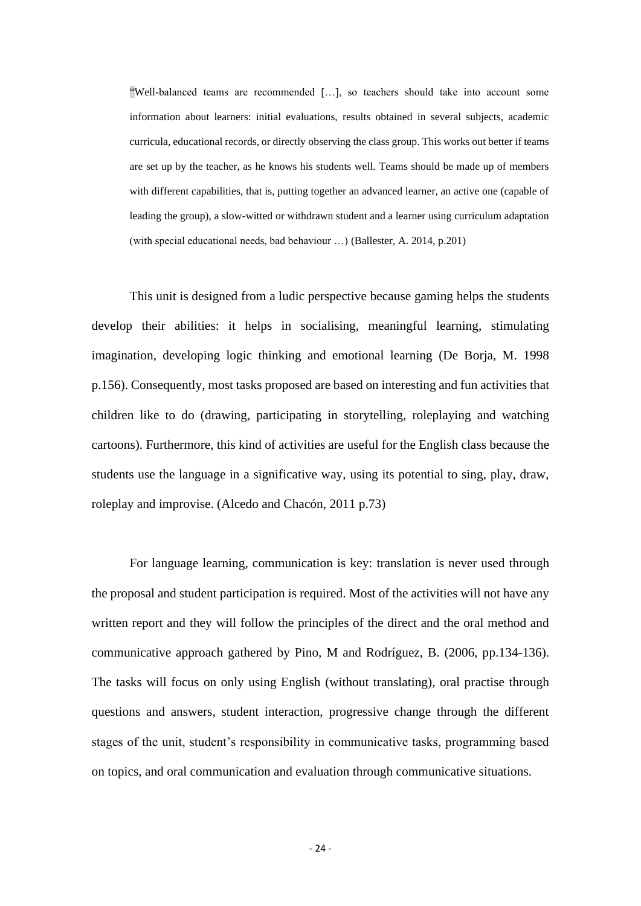"Well-balanced teams are recommended […], so teachers should take into account some information about learners: initial evaluations, results obtained in several subjects, academic curricula, educational records, or directly observing the class group. This works out better if teams are set up by the teacher, as he knows his students well. Teams should be made up of members with different capabilities, that is, putting together an advanced learner, an active one (capable of leading the group), a slow-witted or withdrawn student and a learner using curriculum adaptation (with special educational needs, bad behaviour …) (Ballester, A. 2014, p.201)

This unit is designed from a ludic perspective because gaming helps the students develop their abilities: it helps in socialising, meaningful learning, stimulating imagination, developing logic thinking and emotional learning (De Borja, M. 1998 p.156). Consequently, most tasks proposed are based on interesting and fun activities that children like to do (drawing, participating in storytelling, roleplaying and watching cartoons). Furthermore, this kind of activities are useful for the English class because the students use the language in a significative way, using its potential to sing, play, draw, roleplay and improvise. (Alcedo and Chacón, 2011 p.73)

For language learning, communication is key: translation is never used through the proposal and student participation is required. Most of the activities will not have any written report and they will follow the principles of the direct and the oral method and communicative approach gathered by Pino, M and Rodríguez, B. (2006, pp.134-136). The tasks will focus on only using English (without translating), oral practise through questions and answers, student interaction, progressive change through the different stages of the unit, student's responsibility in communicative tasks, programming based on topics, and oral communication and evaluation through communicative situations.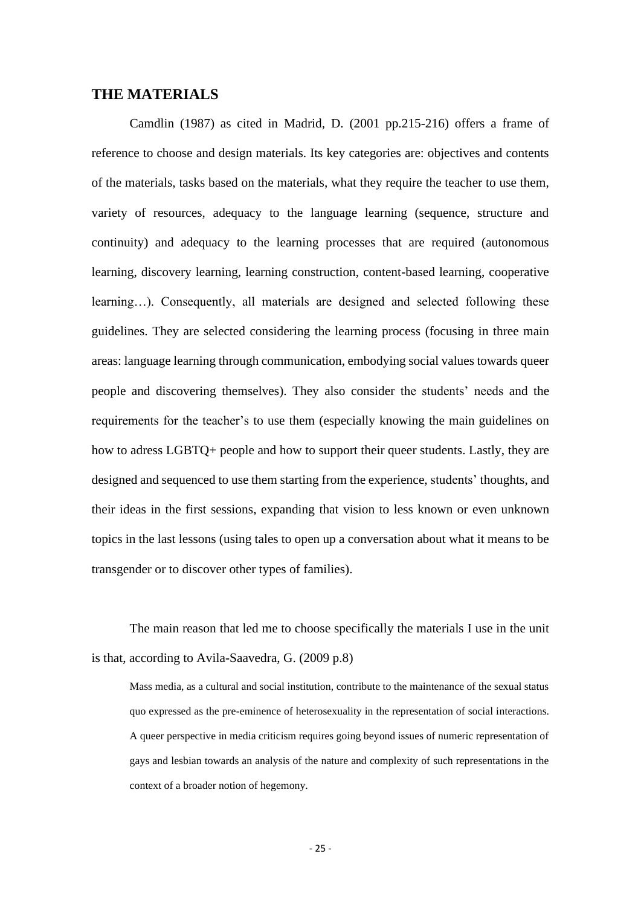#### <span id="page-25-0"></span>**THE MATERIALS**

Camdlin (1987) as cited in Madrid, D. (2001 pp.215-216) offers a frame of reference to choose and design materials. Its key categories are: objectives and contents of the materials, tasks based on the materials, what they require the teacher to use them, variety of resources, adequacy to the language learning (sequence, structure and continuity) and adequacy to the learning processes that are required (autonomous learning, discovery learning, learning construction, content-based learning, cooperative learning…). Consequently, all materials are designed and selected following these guidelines. They are selected considering the learning process (focusing in three main areas: language learning through communication, embodying social values towards queer people and discovering themselves). They also consider the students' needs and the requirements for the teacher's to use them (especially knowing the main guidelines on how to adress LGBTQ+ people and how to support their queer students. Lastly, they are designed and sequenced to use them starting from the experience, students' thoughts, and their ideas in the first sessions, expanding that vision to less known or even unknown topics in the last lessons (using tales to open up a conversation about what it means to be transgender or to discover other types of families).

The main reason that led me to choose specifically the materials I use in the unit is that, according to Avila-Saavedra, G. (2009 p.8)

Mass media, as a cultural and social institution, contribute to the maintenance of the sexual status quo expressed as the pre-eminence of heterosexuality in the representation of social interactions. A queer perspective in media criticism requires going beyond issues of numeric representation of gays and lesbian towards an analysis of the nature and complexity of such representations in the context of a broader notion of hegemony.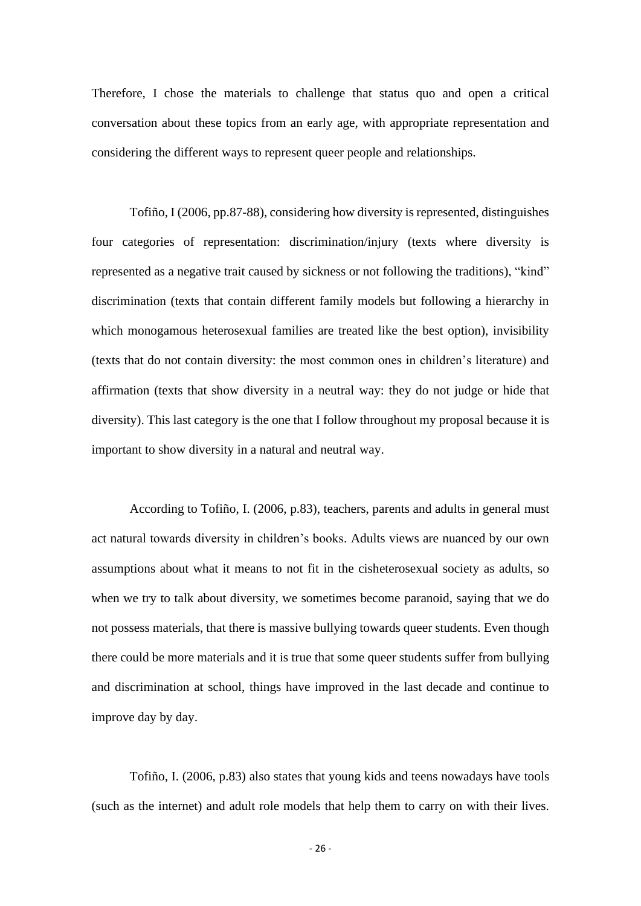Therefore, I chose the materials to challenge that status quo and open a critical conversation about these topics from an early age, with appropriate representation and considering the different ways to represent queer people and relationships.

Tofiño, I (2006, pp.87-88), considering how diversity is represented, distinguishes four categories of representation: discrimination/injury (texts where diversity is represented as a negative trait caused by sickness or not following the traditions), "kind" discrimination (texts that contain different family models but following a hierarchy in which monogamous heterosexual families are treated like the best option), invisibility (texts that do not contain diversity: the most common ones in children's literature) and affirmation (texts that show diversity in a neutral way: they do not judge or hide that diversity). This last category is the one that I follow throughout my proposal because it is important to show diversity in a natural and neutral way.

According to Tofiño, I. (2006, p.83), teachers, parents and adults in general must act natural towards diversity in children's books. Adults views are nuanced by our own assumptions about what it means to not fit in the cisheterosexual society as adults, so when we try to talk about diversity, we sometimes become paranoid, saying that we do not possess materials, that there is massive bullying towards queer students. Even though there could be more materials and it is true that some queer students suffer from bullying and discrimination at school, things have improved in the last decade and continue to improve day by day.

Tofiño, I. (2006, p.83) also states that young kids and teens nowadays have tools (such as the internet) and adult role models that help them to carry on with their lives.

- 26 -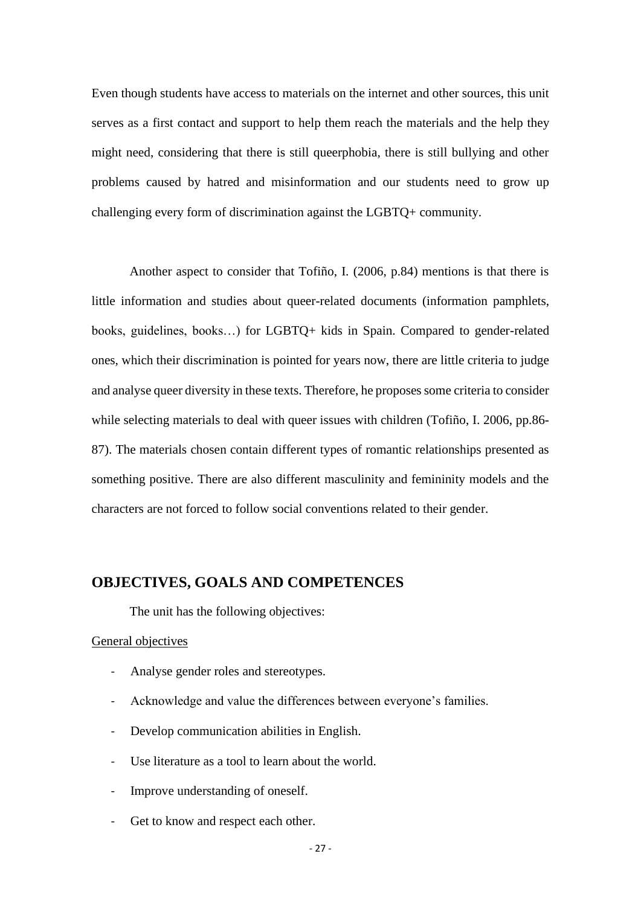Even though students have access to materials on the internet and other sources, this unit serves as a first contact and support to help them reach the materials and the help they might need, considering that there is still queerphobia, there is still bullying and other problems caused by hatred and misinformation and our students need to grow up challenging every form of discrimination against the LGBTQ+ community.

Another aspect to consider that Tofiño, I. (2006, p.84) mentions is that there is little information and studies about queer-related documents (information pamphlets, books, guidelines, books…) for LGBTQ+ kids in Spain. Compared to gender-related ones, which their discrimination is pointed for years now, there are little criteria to judge and analyse queer diversity in these texts. Therefore, he proposes some criteria to consider while selecting materials to deal with queer issues with children (Tofiño, I. 2006, pp.86-87). The materials chosen contain different types of romantic relationships presented as something positive. There are also different masculinity and femininity models and the characters are not forced to follow social conventions related to their gender.

### <span id="page-27-0"></span>**OBJECTIVES, GOALS AND COMPETENCES**

The unit has the following objectives:

#### General objectives

- Analyse gender roles and stereotypes.
- Acknowledge and value the differences between everyone's families.
- Develop communication abilities in English.
- Use literature as a tool to learn about the world.
- Improve understanding of oneself.
- Get to know and respect each other.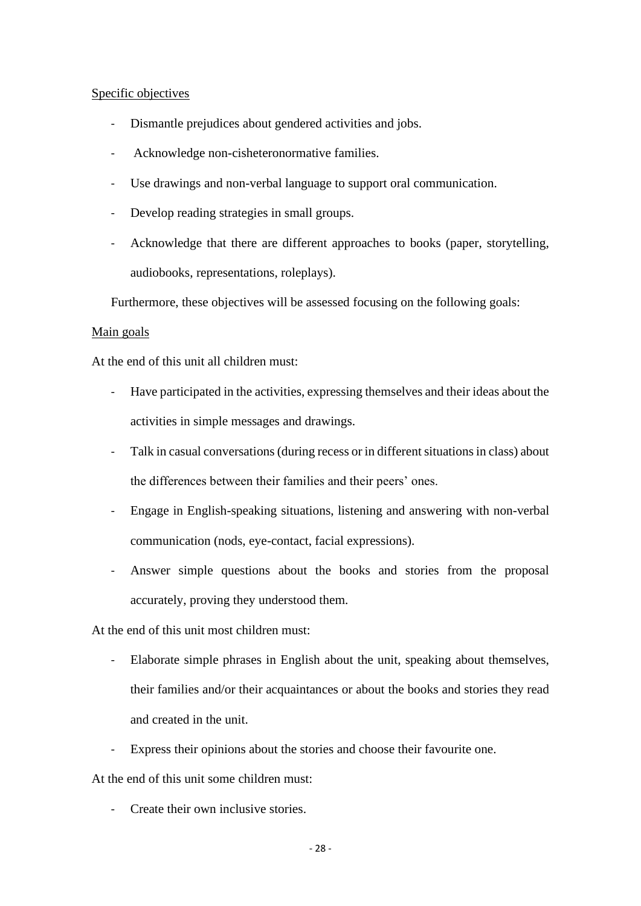#### Specific objectives

- Dismantle prejudices about gendered activities and jobs.
- Acknowledge non-cisheteronormative families.
- Use drawings and non-verbal language to support oral communication.
- Develop reading strategies in small groups.
- Acknowledge that there are different approaches to books (paper, storytelling, audiobooks, representations, roleplays).

Furthermore, these objectives will be assessed focusing on the following goals:

#### Main goals

At the end of this unit all children must:

- Have participated in the activities, expressing themselves and their ideas about the activities in simple messages and drawings.
- Talk in casual conversations (during recess or in different situations in class) about the differences between their families and their peers' ones.
- Engage in English-speaking situations, listening and answering with non-verbal communication (nods, eye-contact, facial expressions).
- Answer simple questions about the books and stories from the proposal accurately, proving they understood them.

At the end of this unit most children must:

- Elaborate simple phrases in English about the unit, speaking about themselves, their families and/or their acquaintances or about the books and stories they read and created in the unit.
- Express their opinions about the stories and choose their favourite one.

At the end of this unit some children must:

Create their own inclusive stories.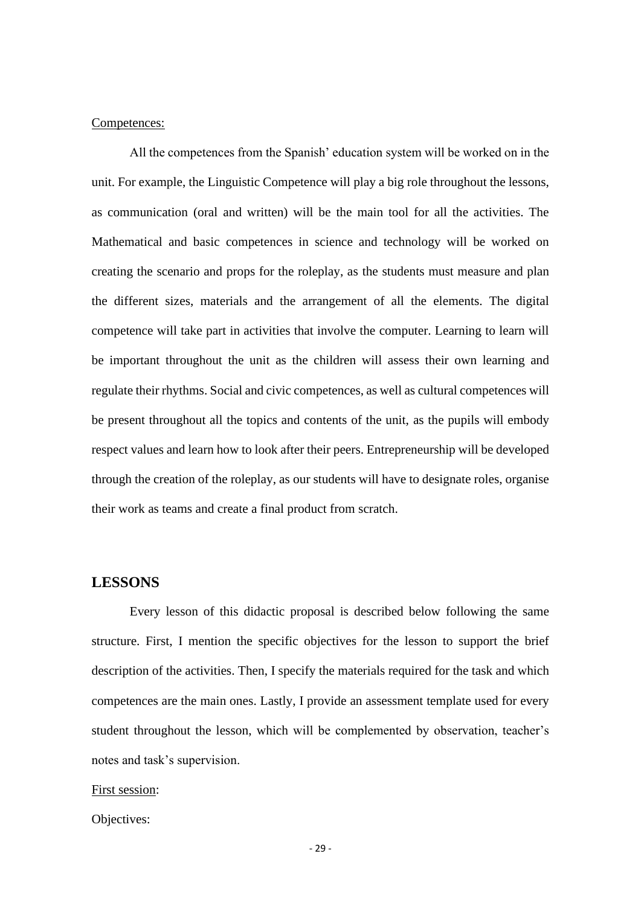#### Competences:

All the competences from the Spanish' education system will be worked on in the unit. For example, the Linguistic Competence will play a big role throughout the lessons, as communication (oral and written) will be the main tool for all the activities. The Mathematical and basic competences in science and technology will be worked on creating the scenario and props for the roleplay, as the students must measure and plan the different sizes, materials and the arrangement of all the elements. The digital competence will take part in activities that involve the computer. Learning to learn will be important throughout the unit as the children will assess their own learning and regulate their rhythms. Social and civic competences, as well as cultural competences will be present throughout all the topics and contents of the unit, as the pupils will embody respect values and learn how to look after their peers. Entrepreneurship will be developed through the creation of the roleplay, as our students will have to designate roles, organise their work as teams and create a final product from scratch.

#### <span id="page-29-0"></span>**LESSONS**

Every lesson of this didactic proposal is described below following the same structure. First, I mention the specific objectives for the lesson to support the brief description of the activities. Then, I specify the materials required for the task and which competences are the main ones. Lastly, I provide an assessment template used for every student throughout the lesson, which will be complemented by observation, teacher's notes and task's supervision.

#### First session:

Objectives: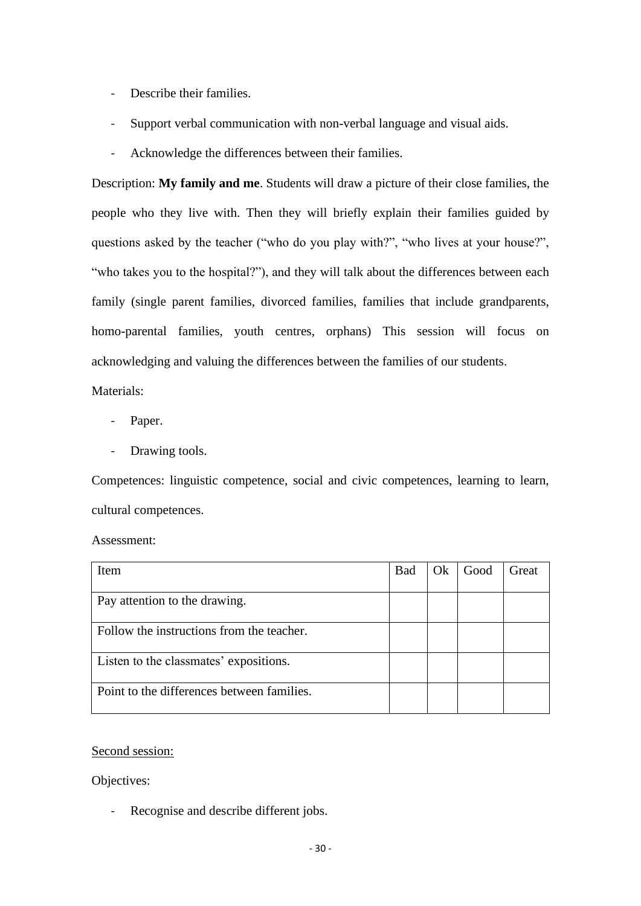- Describe their families.
- Support verbal communication with non-verbal language and visual aids.
- Acknowledge the differences between their families.

Description: **My family and me**. Students will draw a picture of their close families, the people who they live with. Then they will briefly explain their families guided by questions asked by the teacher ("who do you play with?", "who lives at your house?", "who takes you to the hospital?"), and they will talk about the differences between each family (single parent families, divorced families, families that include grandparents, homo-parental families, youth centres, orphans) This session will focus on acknowledging and valuing the differences between the families of our students.

Materials:

- Paper.
- Drawing tools.

Competences: linguistic competence, social and civic competences, learning to learn, cultural competences.

Assessment:

| Item                                       | <b>Bad</b> | Ok | Good | Great |
|--------------------------------------------|------------|----|------|-------|
|                                            |            |    |      |       |
| Pay attention to the drawing.              |            |    |      |       |
|                                            |            |    |      |       |
| Follow the instructions from the teacher.  |            |    |      |       |
| Listen to the classmates' expositions.     |            |    |      |       |
| Point to the differences between families. |            |    |      |       |

Second session:

Objectives:

Recognise and describe different jobs.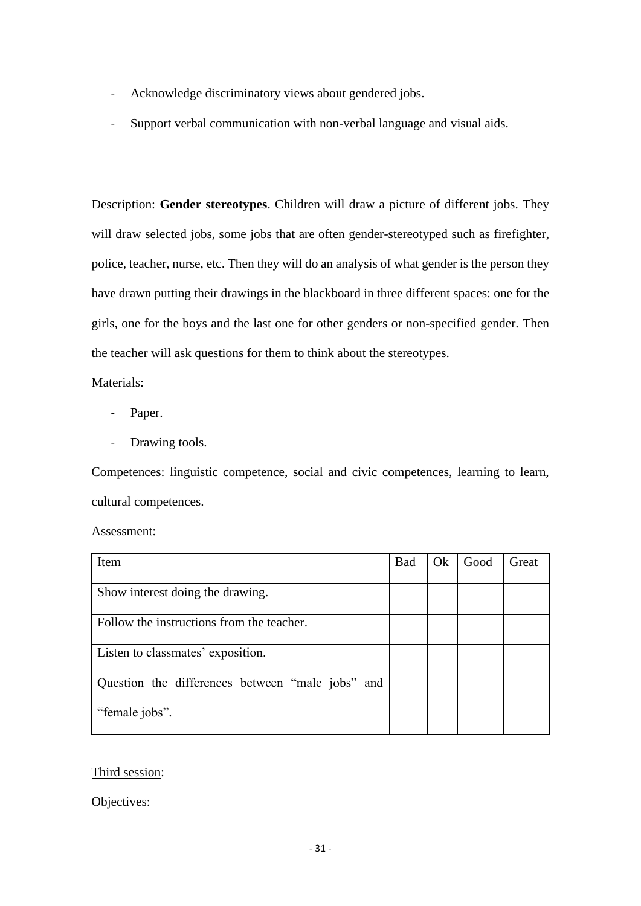- Acknowledge discriminatory views about gendered jobs.
- Support verbal communication with non-verbal language and visual aids.

Description: **Gender stereotypes**. Children will draw a picture of different jobs. They will draw selected jobs, some jobs that are often gender-stereotyped such as firefighter, police, teacher, nurse, etc. Then they will do an analysis of what gender is the person they have drawn putting their drawings in the blackboard in three different spaces: one for the girls, one for the boys and the last one for other genders or non-specified gender. Then the teacher will ask questions for them to think about the stereotypes.

Materials:

- Paper.
- Drawing tools.

Competences: linguistic competence, social and civic competences, learning to learn, cultural competences.

Assessment:

| Item                                             | <b>Bad</b> | Ok | Good | Great |
|--------------------------------------------------|------------|----|------|-------|
|                                                  |            |    |      |       |
| Show interest doing the drawing.                 |            |    |      |       |
| Follow the instructions from the teacher.        |            |    |      |       |
| Listen to classmates' exposition.                |            |    |      |       |
| Question the differences between "male jobs" and |            |    |      |       |
| "female jobs".                                   |            |    |      |       |

### Third session:

Objectives: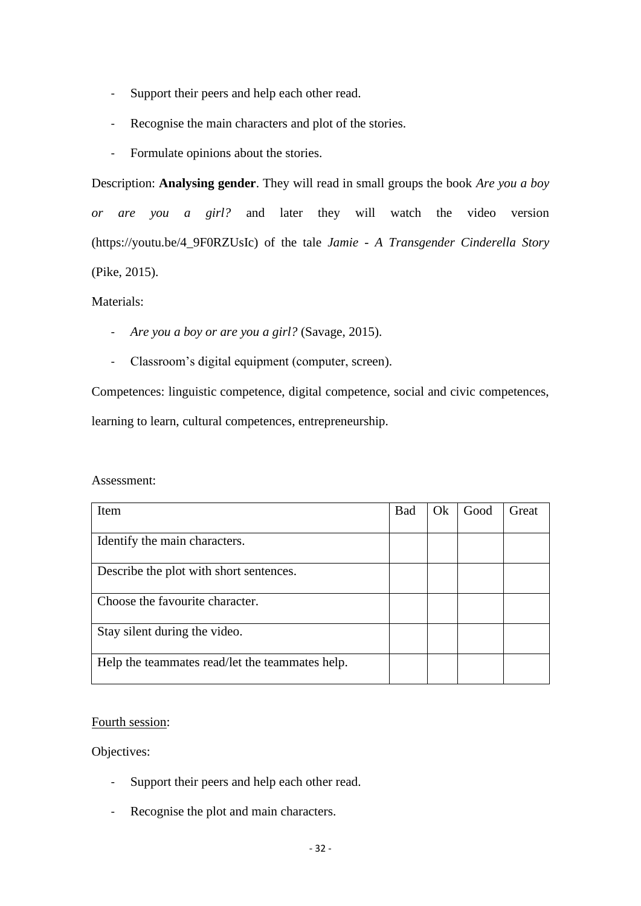- Support their peers and help each other read.
- Recognise the main characters and plot of the stories.
- Formulate opinions about the stories.

Description: **Analysing gender**. They will read in small groups the book *Are you a boy or are you a girl?* and later they will watch the video version (https://youtu.be/4\_9F0RZUsIc) of the tale *Jamie - A Transgender Cinderella Story*  (Pike, 2015).

### Materials:

- *Are you a boy or are you a girl?* (Savage, 2015).
- Classroom's digital equipment (computer, screen).

Competences: linguistic competence, digital competence, social and civic competences, learning to learn, cultural competences, entrepreneurship.

Assessment:

| Item                                            | <b>Bad</b> | Ok. | Good | Great |
|-------------------------------------------------|------------|-----|------|-------|
| Identify the main characters.                   |            |     |      |       |
| Describe the plot with short sentences.         |            |     |      |       |
| Choose the favourite character.                 |            |     |      |       |
| Stay silent during the video.                   |            |     |      |       |
| Help the teammates read/let the teammates help. |            |     |      |       |

### Fourth session:

Objectives:

- Support their peers and help each other read.
- Recognise the plot and main characters.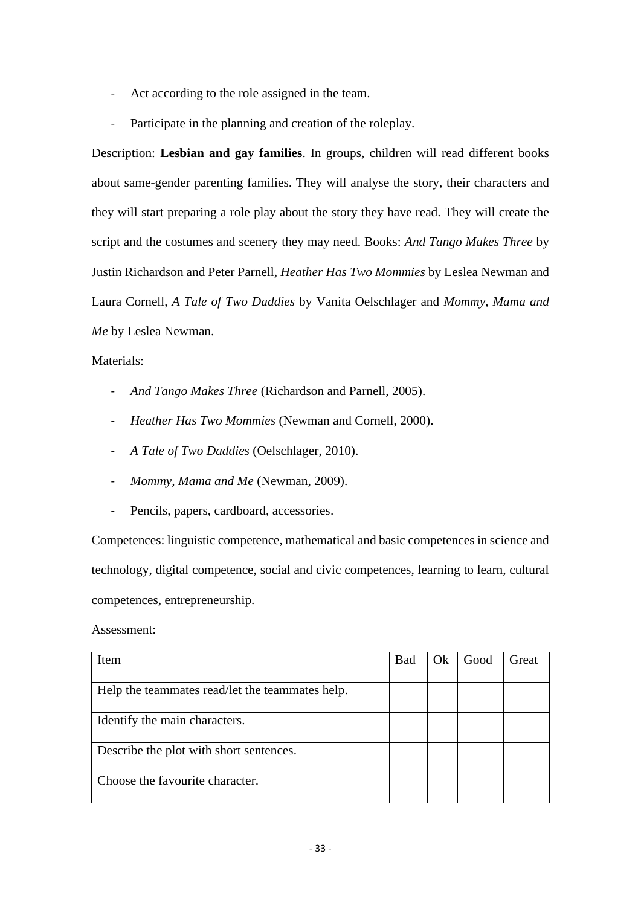- Act according to the role assigned in the team.
- Participate in the planning and creation of the roleplay.

Description: **Lesbian and gay families**. In groups, children will read different books about same-gender parenting families. They will analyse the story, their characters and they will start preparing a role play about the story they have read. They will create the script and the costumes and scenery they may need. Books: *And Tango Makes Three* by Justin Richardson and Peter Parnell, *Heather Has Two Mommies* by Leslea Newman and Laura Cornell, *A Tale of Two Daddies* by Vanita Oelschlager and *Mommy, Mama and Me* by Leslea Newman.

#### Materials:

- *And Tango Makes Three* (Richardson and Parnell, 2005).
- *Heather Has Two Mommies* (Newman and Cornell, 2000).
- *A Tale of Two Daddies* (Oelschlager, 2010).
- *Mommy, Mama and Me* (Newman, 2009).
- Pencils, papers, cardboard, accessories.

Competences: linguistic competence, mathematical and basic competences in science and technology, digital competence, social and civic competences, learning to learn, cultural competences, entrepreneurship.

Assessment:

| Item                                            | <b>Bad</b> | Ok | Good | Great |
|-------------------------------------------------|------------|----|------|-------|
|                                                 |            |    |      |       |
| Help the teammates read/let the teammates help. |            |    |      |       |
| Identify the main characters.                   |            |    |      |       |
| Describe the plot with short sentences.         |            |    |      |       |
| Choose the favourite character.                 |            |    |      |       |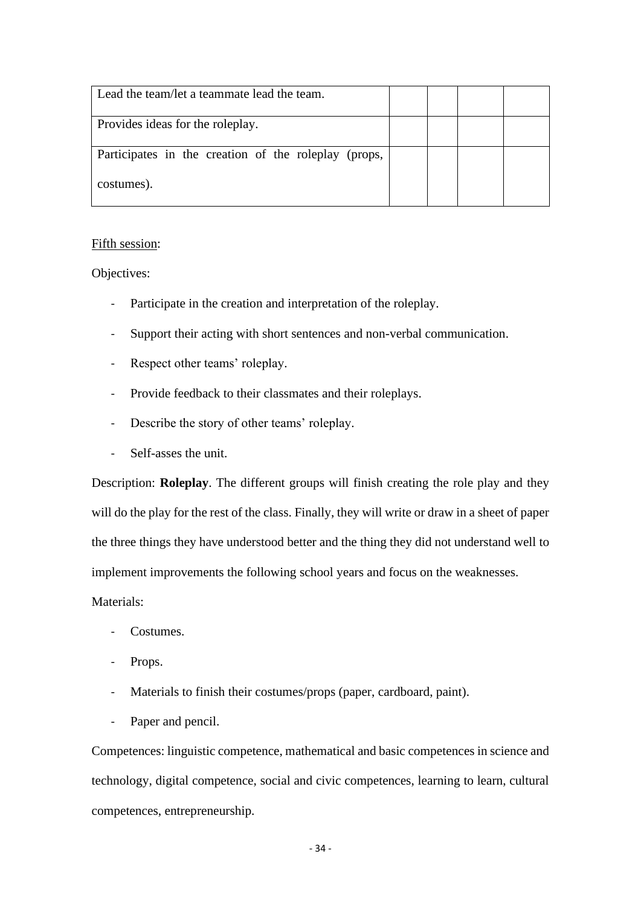| Lead the team/let a teammate lead the team.          |  |  |
|------------------------------------------------------|--|--|
| Provides ideas for the roleplay.                     |  |  |
| Participates in the creation of the roleplay (props, |  |  |
| costumes).                                           |  |  |

#### Fifth session:

Objectives:

- Participate in the creation and interpretation of the roleplay.
- Support their acting with short sentences and non-verbal communication.
- Respect other teams' roleplay.
- Provide feedback to their classmates and their roleplays.
- Describe the story of other teams' roleplay.
- Self-asses the unit.

Description: **Roleplay**. The different groups will finish creating the role play and they will do the play for the rest of the class. Finally, they will write or draw in a sheet of paper the three things they have understood better and the thing they did not understand well to implement improvements the following school years and focus on the weaknesses.

Materials:

- Costumes.
- Props.
- Materials to finish their costumes/props (paper, cardboard, paint).
- Paper and pencil.

Competences: linguistic competence, mathematical and basic competences in science and technology, digital competence, social and civic competences, learning to learn, cultural competences, entrepreneurship.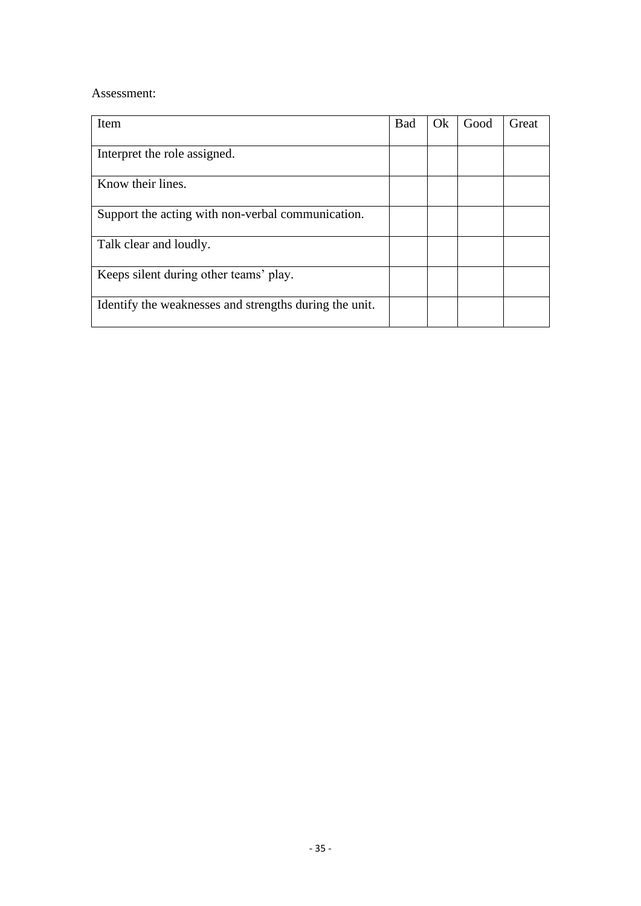#### Assessment:

| <b>Item</b>                                            | Bad | Qk | Good | Great |
|--------------------------------------------------------|-----|----|------|-------|
| Interpret the role assigned.                           |     |    |      |       |
| Know their lines.                                      |     |    |      |       |
| Support the acting with non-verbal communication.      |     |    |      |       |
| Talk clear and loudly.                                 |     |    |      |       |
| Keeps silent during other teams' play.                 |     |    |      |       |
| Identify the weaknesses and strengths during the unit. |     |    |      |       |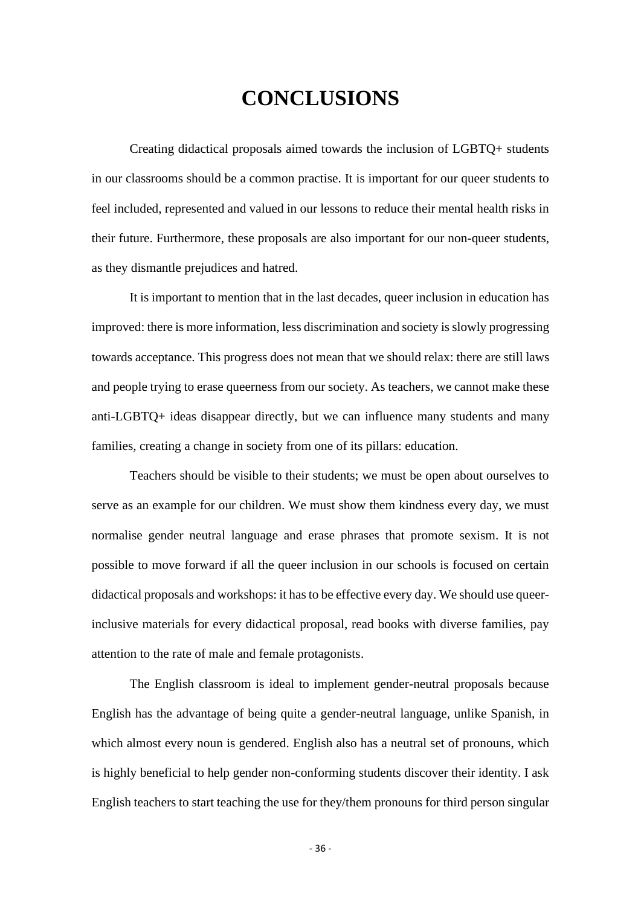# **CONCLUSIONS**

<span id="page-36-0"></span>Creating didactical proposals aimed towards the inclusion of LGBTQ+ students in our classrooms should be a common practise. It is important for our queer students to feel included, represented and valued in our lessons to reduce their mental health risks in their future. Furthermore, these proposals are also important for our non-queer students, as they dismantle prejudices and hatred.

It is important to mention that in the last decades, queer inclusion in education has improved: there is more information, less discrimination and society is slowly progressing towards acceptance. This progress does not mean that we should relax: there are still laws and people trying to erase queerness from our society. As teachers, we cannot make these anti-LGBTQ+ ideas disappear directly, but we can influence many students and many families, creating a change in society from one of its pillars: education.

Teachers should be visible to their students; we must be open about ourselves to serve as an example for our children. We must show them kindness every day, we must normalise gender neutral language and erase phrases that promote sexism. It is not possible to move forward if all the queer inclusion in our schools is focused on certain didactical proposals and workshops: it has to be effective every day. We should use queerinclusive materials for every didactical proposal, read books with diverse families, pay attention to the rate of male and female protagonists.

The English classroom is ideal to implement gender-neutral proposals because English has the advantage of being quite a gender-neutral language, unlike Spanish, in which almost every noun is gendered. English also has a neutral set of pronouns, which is highly beneficial to help gender non-conforming students discover their identity. I ask English teachers to start teaching the use for they/them pronouns for third person singular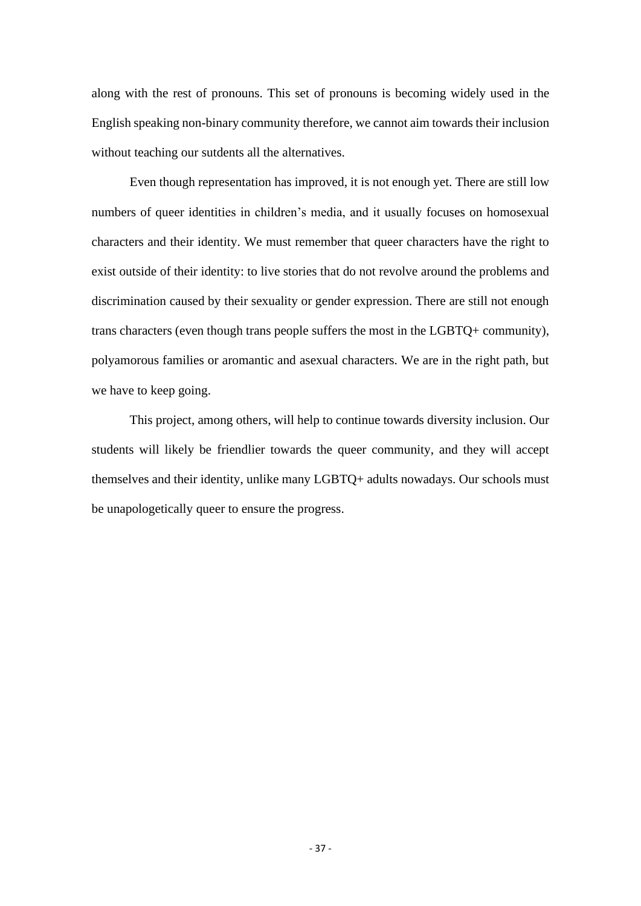along with the rest of pronouns. This set of pronouns is becoming widely used in the English speaking non-binary community therefore, we cannot aim towards their inclusion without teaching our sutdents all the alternatives.

Even though representation has improved, it is not enough yet. There are still low numbers of queer identities in children's media, and it usually focuses on homosexual characters and their identity. We must remember that queer characters have the right to exist outside of their identity: to live stories that do not revolve around the problems and discrimination caused by their sexuality or gender expression. There are still not enough trans characters (even though trans people suffers the most in the LGBTQ+ community), polyamorous families or aromantic and asexual characters. We are in the right path, but we have to keep going.

This project, among others, will help to continue towards diversity inclusion. Our students will likely be friendlier towards the queer community, and they will accept themselves and their identity, unlike many LGBTQ+ adults nowadays. Our schools must be unapologetically queer to ensure the progress.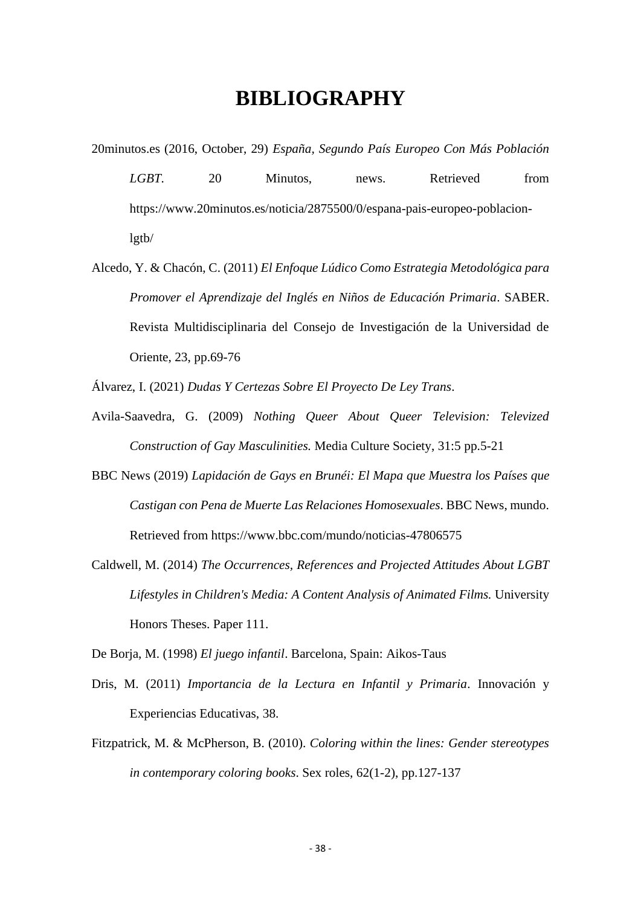### **BIBLIOGRAPHY**

- <span id="page-38-0"></span>20minutos.es (2016, October, 29) *España, Segundo País Europeo Con Más Población LGBT*. 20 Minutos, news. Retrieved from https://www.20minutos.es/noticia/2875500/0/espana-pais-europeo-poblacionlgtb/
- Alcedo, Y. & Chacón, C. (2011) *El Enfoque Lúdico Como Estrategia Metodológica para Promover el Aprendizaje del Inglés en Niños de Educación Primaria*. SABER. Revista Multidisciplinaria del Consejo de Investigación de la Universidad de Oriente, 23, pp.69-76
- Álvarez, I. (2021) *Dudas Y Certezas Sobre El Proyecto De Ley Trans*.
- Avila-Saavedra, G. (2009) *Nothing Queer About Queer Television: Televized Construction of Gay Masculinities.* Media Culture Society, 31:5 pp.5-21
- BBC News (2019) *Lapidación de Gays en Brunéi: El Mapa que Muestra los Países que Castigan con Pena de Muerte Las Relaciones Homosexuales*. BBC News, mundo. Retrieved from https://www.bbc.com/mundo/noticias-47806575
- Caldwell, M. (2014) *The Occurrences, References and Projected Attitudes About LGBT Lifestyles in Children's Media: A Content Analysis of Animated Films.* University Honors Theses. Paper 111.

De Borja, M. (1998) *El juego infantil*. Barcelona, Spain: Aikos-Taus

- Dris, M. (2011) *Importancia de la Lectura en Infantil y Primaria*. Innovación y Experiencias Educativas, 38.
- Fitzpatrick, M. & McPherson, B. (2010). *Coloring within the lines: Gender stereotypes in contemporary coloring books*. Sex roles, 62(1-2), pp.127-137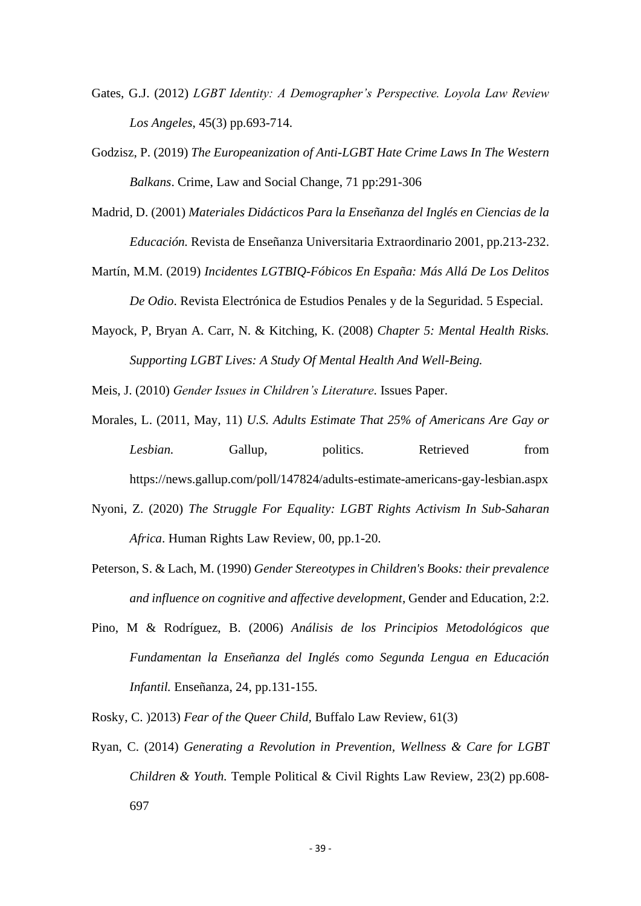- Gates, G.J. (2012) *LGBT Identity: A Demographer's Perspective. Loyola Law Review Los Angeles*, 45(3) pp.693-714.
- Godzisz, P. (2019) *The Europeanization of Anti-LGBT Hate Crime Laws In The Western Balkans*. Crime, Law and Social Change, 71 pp:291-306
- Madrid, D. (2001) *Materiales Didácticos Para la Enseñanza del Inglés en Ciencias de la Educación.* Revista de Enseñanza Universitaria Extraordinario 2001, pp.213-232.
- Martín, M.M. (2019) *Incidentes LGTBIQ-Fóbicos En España: Más Allá De Los Delitos De Odio*. Revista Electrónica de Estudios Penales y de la Seguridad. 5 Especial.
- Mayock, P, Bryan A. Carr, N. & Kitching, K. (2008) *Chapter 5: Mental Health Risks. Supporting LGBT Lives: A Study Of Mental Health And Well-Being.*

Meis, J. (2010) *Gender Issues in Children's Literature.* Issues Paper.

- Morales, L. (2011, May, 11) *U.S. Adults Estimate That 25% of Americans Are Gay or Lesbian.* Gallup, politics. Retrieved from https://news.gallup.com/poll/147824/adults-estimate-americans-gay-lesbian.aspx
- Nyoni, Z. (2020) *The Struggle For Equality: LGBT Rights Activism In Sub-Saharan Africa*. Human Rights Law Review, 00, pp.1-20.
- Peterson, S. & Lach, M. (1990) *Gender Stereotypes in Children's Books: their prevalence and influence on cognitive and affective development*, Gender and Education, 2:2.
- Pino, M & Rodríguez, B. (2006) *Análisis de los Principios Metodológicos que Fundamentan la Enseñanza del Inglés como Segunda Lengua en Educación Infantil.* Enseñanza, 24, pp.131-155.

Rosky, C. )2013) *Fear of the Queer Child,* Buffalo Law Review, 61(3)

Ryan, C. (2014) *Generating a Revolution in Prevention, Wellness & Care for LGBT Children & Youth.* Temple Political & Civil Rights Law Review, 23(2) pp.608- 697